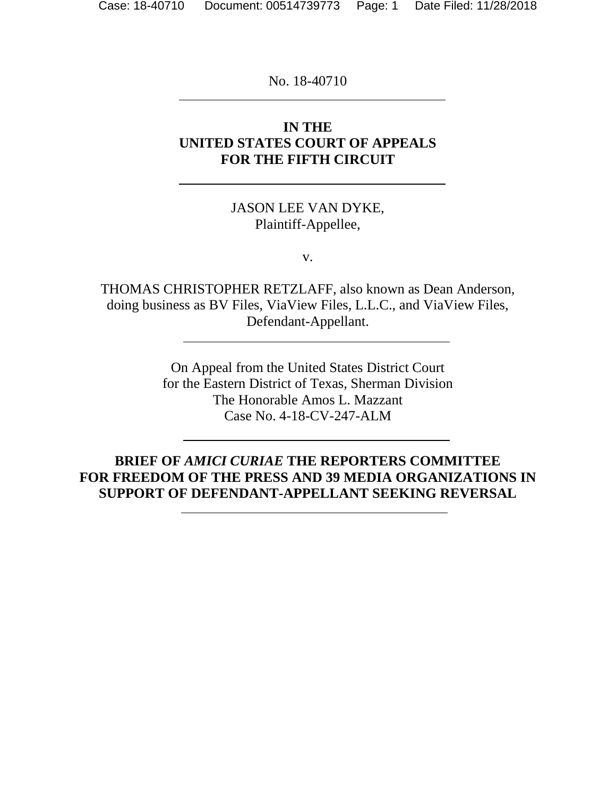No. 18-40710

## **IN THE UNITED STATES COURT OF APPEALS FOR THE FIFTH CIRCUIT**

## JASON LEE VAN DYKE, Plaintiff-Appellee,

v.

THOMAS CHRISTOPHER RETZLAFF, also known as Dean Anderson, doing business as BV Files, ViaView Files, L.L.C., and ViaView Files, Defendant-Appellant.

> On Appeal from the United States District Court for the Eastern District of Texas, Sherman Division The Honorable Amos L. Mazzant Case No. 4-18-CV-247-ALM

**BRIEF OF** *AMICI CURIAE* **THE REPORTERS COMMITTEE FOR FREEDOM OF THE PRESS AND 39 MEDIA ORGANIZATIONS IN SUPPORT OF DEFENDANT-APPELLANT SEEKING REVERSAL**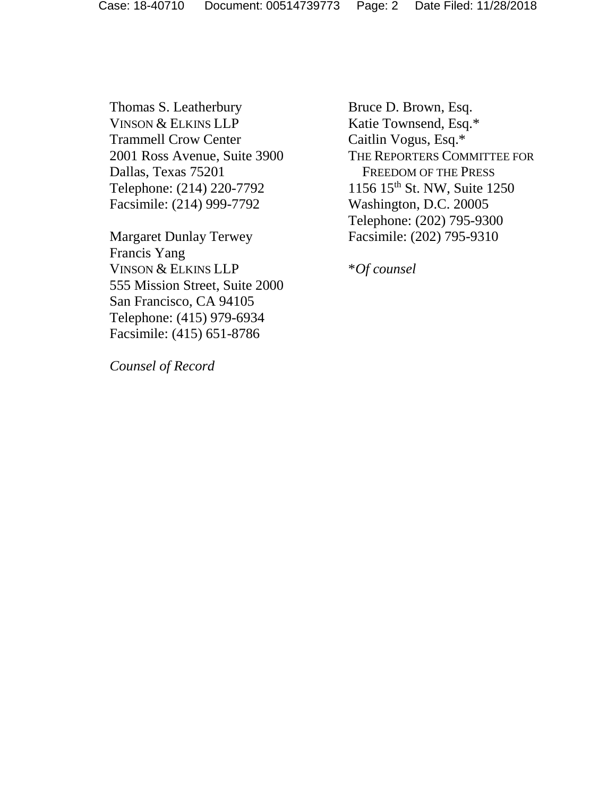Thomas S. Leatherbury VINSON & ELKINS LLP Trammell Crow Center 2001 Ross Avenue, Suite 3900 Dallas, Texas 75201 Telephone: (214) 220-7792 Facsimile: (214) 999-7792

Margaret Dunlay Terwey Francis Yang VINSON & ELKINS LLP 555 Mission Street, Suite 2000 San Francisco, CA 94105 Telephone: (415) 979-6934 Facsimile: (415) 651-8786

Bruce D. Brown, Esq. Katie Townsend, Esq.\* Caitlin Vogus, Esq.\* THE REPORTERS COMMITTEE FOR FREEDOM OF THE PRESS 1156 15th St. NW, Suite 1250 Washington, D.C. 20005 Telephone: (202) 795-9300 Facsimile: (202) 795-9310

\**Of counsel* 

 *Counsel of Record*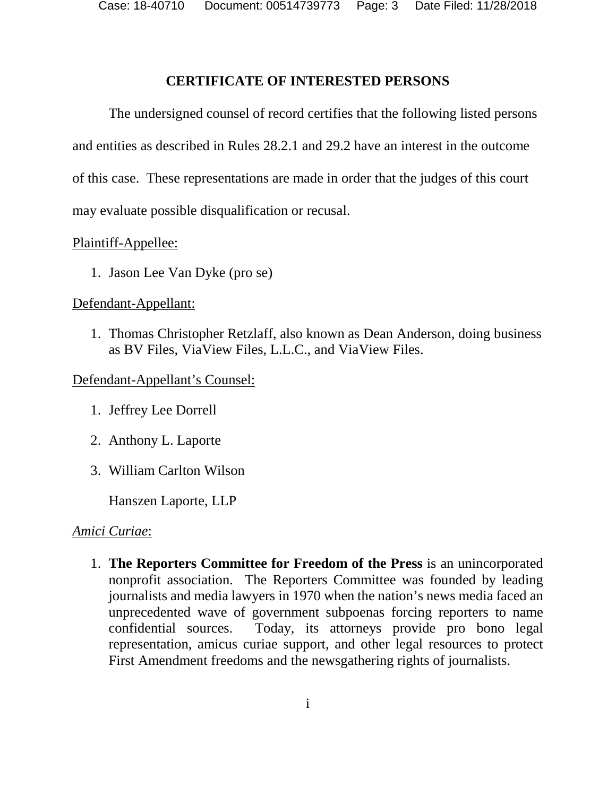Case: 18-40710 Document: 00514739773 Page: 3 Date Filed: 11/28/2018

## **CERTIFICATE OF INTERESTED PERSONS**

The undersigned counsel of record certifies that the following listed persons and entities as described in Rules 28.2.1 and 29.2 have an interest in the outcome of this case. These representations are made in order that the judges of this court may evaluate possible disqualification or recusal.

## Plaintiff-Appellee:

1. Jason Lee Van Dyke (pro se)

## Defendant-Appellant:

1. Thomas Christopher Retzlaff, also known as Dean Anderson, doing business as BV Files, ViaView Files, L.L.C., and ViaView Files.

## Defendant-Appellant's Counsel:

- 1. Jeffrey Lee Dorrell
- 2. Anthony L. Laporte
- 3. William Carlton Wilson

Hanszen Laporte, LLP

#### *Amici Curiae*:

1. **The Reporters Committee for Freedom of the Press** is an unincorporated nonprofit association. The Reporters Committee was founded by leading journalists and media lawyers in 1970 when the nation's news media faced an unprecedented wave of government subpoenas forcing reporters to name confidential sources. Today, its attorneys provide pro bono legal representation, amicus curiae support, and other legal resources to protect First Amendment freedoms and the newsgathering rights of journalists.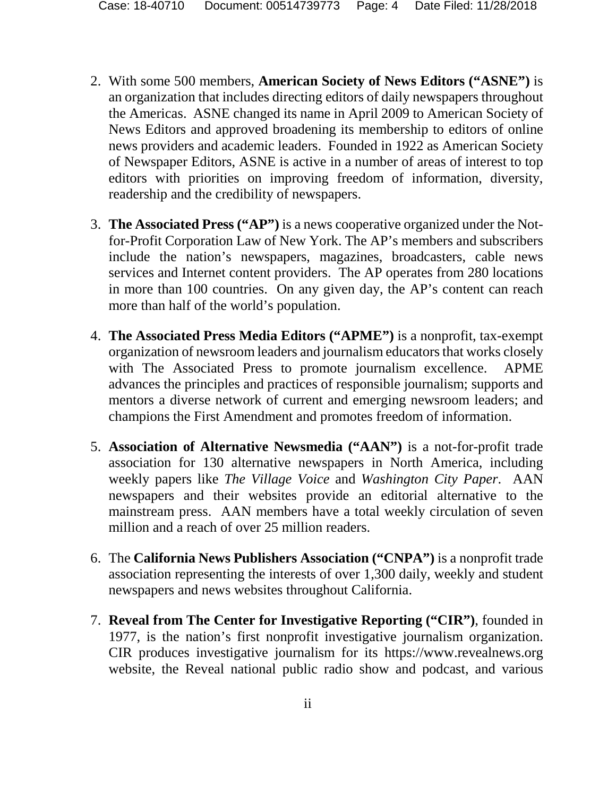- 2. With some 500 members, **American Society of News Editors ("ASNE")** is an organization that includes directing editors of daily newspapers throughout the Americas. ASNE changed its name in April 2009 to American Society of News Editors and approved broadening its membership to editors of online news providers and academic leaders. Founded in 1922 as American Society of Newspaper Editors, ASNE is active in a number of areas of interest to top editors with priorities on improving freedom of information, diversity, readership and the credibility of newspapers.
- 3. **The Associated Press ("AP")** is a news cooperative organized under the Notfor-Profit Corporation Law of New York. The AP's members and subscribers include the nation's newspapers, magazines, broadcasters, cable news services and Internet content providers. The AP operates from 280 locations in more than 100 countries. On any given day, the AP's content can reach more than half of the world's population.
- 4. **The Associated Press Media Editors ("APME")** is a nonprofit, tax-exempt organization of newsroom leaders and journalism educators that works closely with The Associated Press to promote journalism excellence. APME advances the principles and practices of responsible journalism; supports and mentors a diverse network of current and emerging newsroom leaders; and champions the First Amendment and promotes freedom of information.
- 5. **Association of Alternative Newsmedia ("AAN")** is a not-for-profit trade association for 130 alternative newspapers in North America, including weekly papers like *The Village Voice* and *Washington City Paper*. AAN newspapers and their websites provide an editorial alternative to the mainstream press. AAN members have a total weekly circulation of seven million and a reach of over 25 million readers.
- 6. The **California News Publishers Association ("CNPA")** is a nonprofit trade association representing the interests of over 1,300 daily, weekly and student newspapers and news websites throughout California.
- 7. **Reveal from The Center for Investigative Reporting ("CIR")**, founded in 1977, is the nation's first nonprofit investigative journalism organization. CIR produces investigative journalism for its https://www.revealnews.org website, the Reveal national public radio show and podcast, and various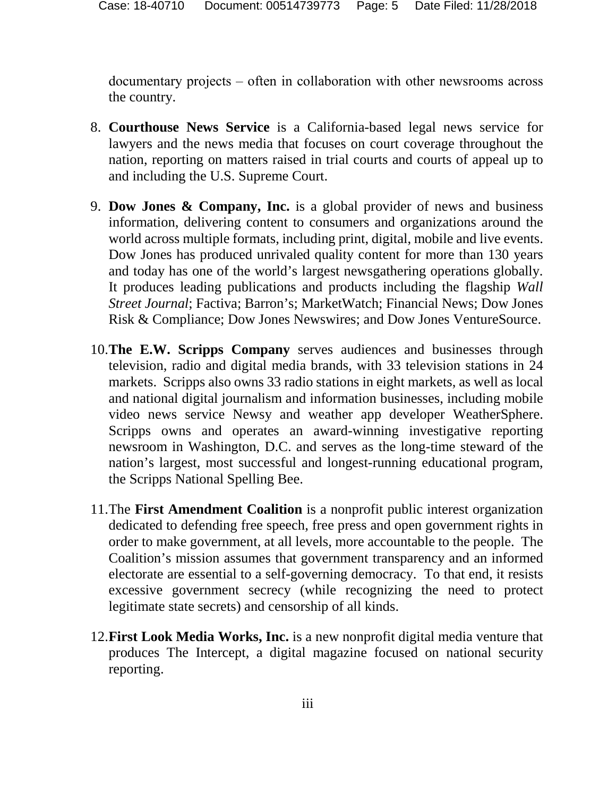documentary projects – often in collaboration with other newsrooms across the country.

- 8. **Courthouse News Service** is a California-based legal news service for lawyers and the news media that focuses on court coverage throughout the nation, reporting on matters raised in trial courts and courts of appeal up to and including the U.S. Supreme Court.
- 9. **Dow Jones & Company, Inc.** is a global provider of news and business information, delivering content to consumers and organizations around the world across multiple formats, including print, digital, mobile and live events. Dow Jones has produced unrivaled quality content for more than 130 years and today has one of the world's largest newsgathering operations globally. It produces leading publications and products including the flagship *Wall Street Journal*; Factiva; Barron's; MarketWatch; Financial News; Dow Jones Risk & Compliance; Dow Jones Newswires; and Dow Jones VentureSource.
- 10.**The E.W. Scripps Company** serves audiences and businesses through television, radio and digital media brands, with 33 television stations in 24 markets. Scripps also owns 33 radio stations in eight markets, as well as local and national digital journalism and information businesses, including mobile video news service Newsy and weather app developer WeatherSphere. Scripps owns and operates an award-winning investigative reporting newsroom in Washington, D.C. and serves as the long-time steward of the nation's largest, most successful and longest-running educational program, the Scripps National Spelling Bee.
- 11.The **First Amendment Coalition** is a nonprofit public interest organization dedicated to defending free speech, free press and open government rights in order to make government, at all levels, more accountable to the people. The Coalition's mission assumes that government transparency and an informed electorate are essential to a self-governing democracy. To that end, it resists excessive government secrecy (while recognizing the need to protect legitimate state secrets) and censorship of all kinds.
- 12.**First Look Media Works, Inc.** is a new nonprofit digital media venture that produces The Intercept, a digital magazine focused on national security reporting.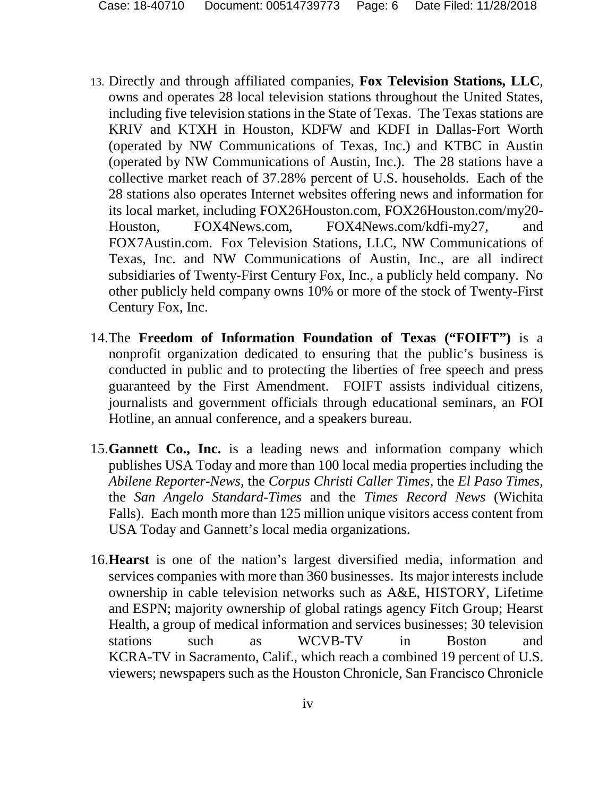- 13. Directly and through affiliated companies, **Fox Television Stations, LLC**, owns and operates 28 local television stations throughout the United States, including five television stations in the State of Texas. The Texas stations are KRIV and KTXH in Houston, KDFW and KDFI in Dallas-Fort Worth (operated by NW Communications of Texas, Inc.) and KTBC in Austin (operated by NW Communications of Austin, Inc.). The 28 stations have a collective market reach of 37.28% percent of U.S. households. Each of the 28 stations also operates Internet websites offering news and information for its local market, including FOX26Houston.com, FOX26Houston.com/my20- Houston, FOX4News.com, FOX4News.com/kdfi-my27, and FOX7Austin.com. Fox Television Stations, LLC, NW Communications of Texas, Inc. and NW Communications of Austin, Inc., are all indirect subsidiaries of Twenty-First Century Fox, Inc., a publicly held company. No other publicly held company owns 10% or more of the stock of Twenty-First Century Fox, Inc.
- 14.The **Freedom of Information Foundation of Texas ("FOIFT")** is a nonprofit organization dedicated to ensuring that the public's business is conducted in public and to protecting the liberties of free speech and press guaranteed by the First Amendment. FOIFT assists individual citizens, journalists and government officials through educational seminars, an FOI Hotline, an annual conference, and a speakers bureau.
- 15.**Gannett Co., Inc.** is a leading news and information company which publishes USA Today and more than 100 local media properties including the *Abilene Reporter-News*, the *Corpus Christi Caller Times*, the *El Paso Times*, the *San Angelo Standard-Times* and the *Times Record News* (Wichita Falls). Each month more than 125 million unique visitors access content from USA Today and Gannett's local media organizations.
- 16.**Hearst** is one of the nation's largest diversified media, information and services companies with more than 360 businesses. Its major interests include ownership in cable television networks such as A&E, HISTORY, Lifetime and ESPN; majority ownership of global ratings agency Fitch Group; Hearst Health, a group of medical information and services businesses; 30 television stations such as WCVB-TV in Boston and KCRA-TV in Sacramento, Calif., which reach a combined 19 percent of U.S. viewers; newspapers such as the Houston Chronicle, San Francisco Chronicle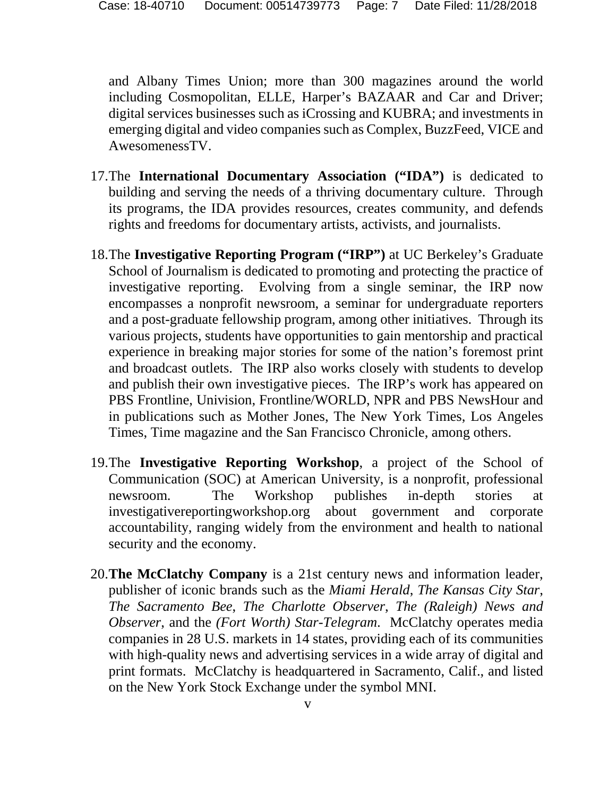and Albany Times Union; more than 300 magazines around the world including Cosmopolitan, ELLE, Harper's BAZAAR and Car and Driver; digital services businesses such as iCrossing and KUBRA; and investments in emerging digital and video companies such as Complex, BuzzFeed, VICE and AwesomenessTV.

- 17.The **International Documentary Association ("IDA")** is dedicated to building and serving the needs of a thriving documentary culture. Through its programs, the IDA provides resources, creates community, and defends rights and freedoms for documentary artists, activists, and journalists.
- 18.The **Investigative Reporting Program ("IRP")** at UC Berkeley's Graduate School of Journalism is dedicated to promoting and protecting the practice of investigative reporting. Evolving from a single seminar, the IRP now encompasses a nonprofit newsroom, a seminar for undergraduate reporters and a post-graduate fellowship program, among other initiatives. Through its various projects, students have opportunities to gain mentorship and practical experience in breaking major stories for some of the nation's foremost print and broadcast outlets. The IRP also works closely with students to develop and publish their own investigative pieces. The IRP's work has appeared on PBS Frontline, Univision, Frontline/WORLD, NPR and PBS NewsHour and in publications such as Mother Jones, The New York Times, Los Angeles Times, Time magazine and the San Francisco Chronicle, among others.
- 19.The **Investigative Reporting Workshop**, a project of the School of Communication (SOC) at American University, is a nonprofit, professional newsroom. The Workshop publishes in-depth stories at investigativereportingworkshop.org about government and corporate accountability, ranging widely from the environment and health to national security and the economy.
- 20.**The McClatchy Company** is a 21st century news and information leader, publisher of iconic brands such as the *Miami Herald*, *The Kansas City Star*, *The Sacramento Bee*, *The Charlotte Observer*, *The (Raleigh) News and Observer*, and the *(Fort Worth) Star-Telegram*. McClatchy operates media companies in 28 U.S. markets in 14 states, providing each of its communities with high-quality news and advertising services in a wide array of digital and print formats. McClatchy is headquartered in Sacramento, Calif., and listed on the New York Stock Exchange under the symbol MNI.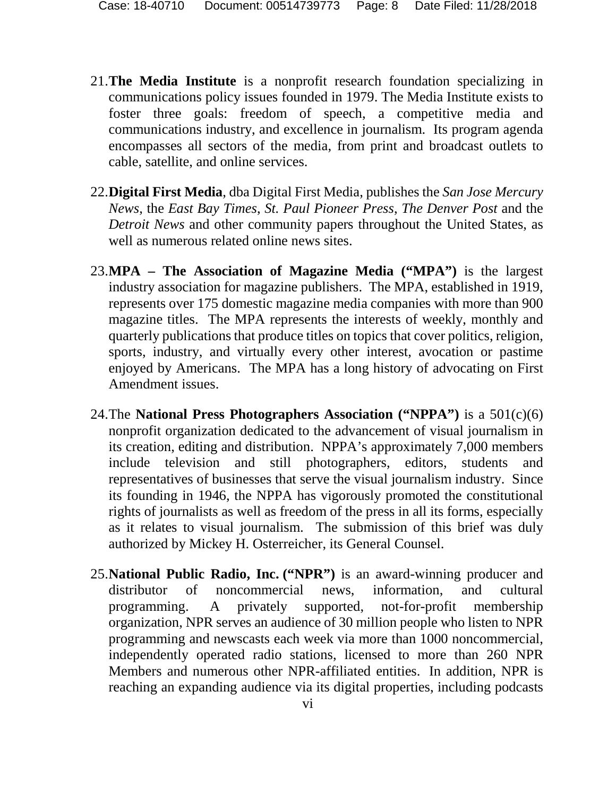- 21.**The Media Institute** is a nonprofit research foundation specializing in communications policy issues founded in 1979. The Media Institute exists to foster three goals: freedom of speech, a competitive media and communications industry, and excellence in journalism. Its program agenda encompasses all sectors of the media, from print and broadcast outlets to cable, satellite, and online services.
- 22.**Digital First Media**, dba Digital First Media, publishes the *San Jose Mercury News*, the *East Bay Times*, *St. Paul Pioneer Press*, *The Denver Post* and the *Detroit News* and other community papers throughout the United States, as well as numerous related online news sites.
- 23.**MPA The Association of Magazine Media ("MPA")** is the largest industry association for magazine publishers. The MPA, established in 1919, represents over 175 domestic magazine media companies with more than 900 magazine titles. The MPA represents the interests of weekly, monthly and quarterly publications that produce titles on topics that cover politics, religion, sports, industry, and virtually every other interest, avocation or pastime enjoyed by Americans. The MPA has a long history of advocating on First Amendment issues.
- 24.The **National Press Photographers Association ("NPPA")** is a 501(c)(6) nonprofit organization dedicated to the advancement of visual journalism in its creation, editing and distribution. NPPA's approximately 7,000 members include television and still photographers, editors, students and representatives of businesses that serve the visual journalism industry. Since its founding in 1946, the NPPA has vigorously promoted the constitutional rights of journalists as well as freedom of the press in all its forms, especially as it relates to visual journalism. The submission of this brief was duly authorized by Mickey H. Osterreicher, its General Counsel.
- 25.**National Public Radio, Inc. ("NPR")** is an award-winning producer and distributor of noncommercial news, information, and cultural programming. A privately supported, not-for-profit membership organization, NPR serves an audience of 30 million people who listen to NPR programming and newscasts each week via more than 1000 noncommercial, independently operated radio stations, licensed to more than 260 NPR Members and numerous other NPR-affiliated entities. In addition, NPR is reaching an expanding audience via its digital properties, including podcasts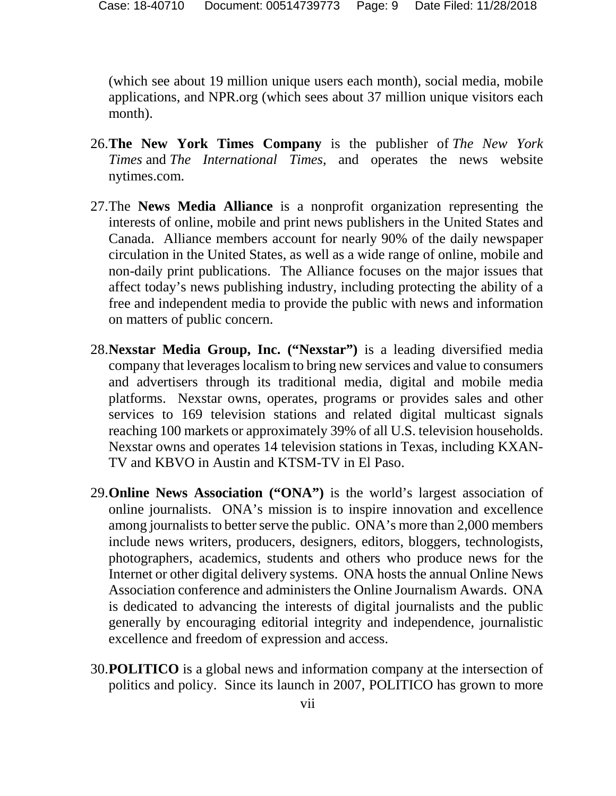(which see about 19 million unique users each month), social media, mobile applications, and NPR.org (which sees about 37 million unique visitors each month).

- 26.**The New York Times Company** is the publisher of *The New York Times* and *The International Times*, and operates the news website nytimes.com.
- 27.The **News Media Alliance** is a nonprofit organization representing the interests of online, mobile and print news publishers in the United States and Canada. Alliance members account for nearly 90% of the daily newspaper circulation in the United States, as well as a wide range of online, mobile and non-daily print publications. The Alliance focuses on the major issues that affect today's news publishing industry, including protecting the ability of a free and independent media to provide the public with news and information on matters of public concern.
- 28.**Nexstar Media Group, Inc. ("Nexstar")** is a leading diversified media company that leverages localism to bring new services and value to consumers and advertisers through its traditional media, digital and mobile media platforms. Nexstar owns, operates, programs or provides sales and other services to 169 television stations and related digital multicast signals reaching 100 markets or approximately 39% of all U.S. television households. Nexstar owns and operates 14 television stations in Texas, including KXAN-TV and KBVO in Austin and KTSM-TV in El Paso.
- 29.**Online News Association ("ONA")** is the world's largest association of online journalists. ONA's mission is to inspire innovation and excellence among journalists to better serve the public. ONA's more than 2,000 members include news writers, producers, designers, editors, bloggers, technologists, photographers, academics, students and others who produce news for the Internet or other digital delivery systems. ONA hosts the annual Online News Association conference and administers the Online Journalism Awards. ONA is dedicated to advancing the interests of digital journalists and the public generally by encouraging editorial integrity and independence, journalistic excellence and freedom of expression and access.
- 30.**POLITICO** is a global news and information company at the intersection of politics and policy. Since its launch in 2007, POLITICO has grown to more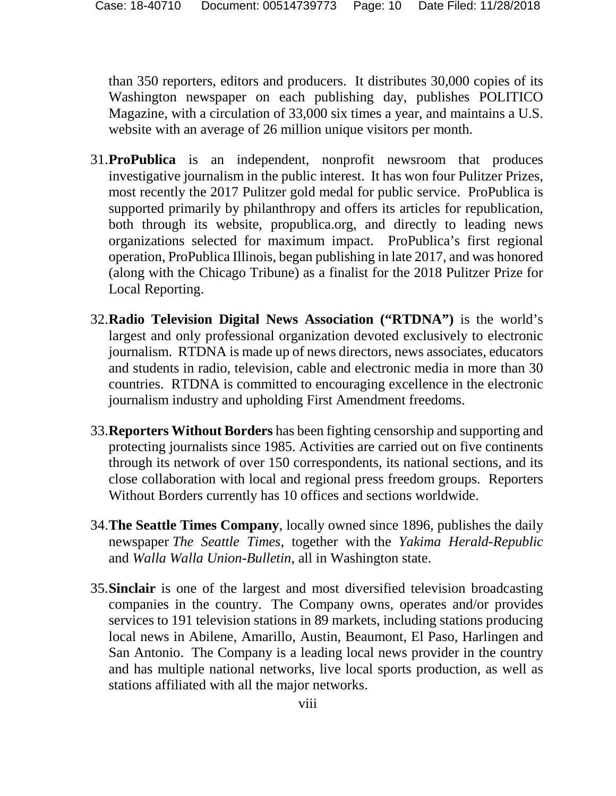than 350 reporters, editors and producers. It distributes 30,000 copies of its Washington newspaper on each publishing day, publishes POLITICO Magazine, with a circulation of 33,000 six times a year, and maintains a U.S. website with an average of 26 million unique visitors per month.

- 31.**ProPublica** is an independent, nonprofit newsroom that produces investigative journalism in the public interest. It has won four Pulitzer Prizes, most recently the 2017 Pulitzer gold medal for public service. ProPublica is supported primarily by philanthropy and offers its articles for republication, both through its website, propublica.org, and directly to leading news organizations selected for maximum impact. ProPublica's first regional operation, ProPublica Illinois, began publishing in late 2017, and was honored (along with the Chicago Tribune) as a finalist for the 2018 Pulitzer Prize for Local Reporting.
- 32.**Radio Television Digital News Association ("RTDNA")** is the world's largest and only professional organization devoted exclusively to electronic journalism. RTDNA is made up of news directors, news associates, educators and students in radio, television, cable and electronic media in more than 30 countries. RTDNA is committed to encouraging excellence in the electronic journalism industry and upholding First Amendment freedoms.
- 33.**Reporters Without Borders** has been fighting censorship and supporting and protecting journalists since 1985. Activities are carried out on five continents through its network of over 150 correspondents, its national sections, and its close collaboration with local and regional press freedom groups. Reporters Without Borders currently has 10 offices and sections worldwide.
- 34.**The Seattle Times Company**, locally owned since 1896, publishes the daily newspaper *The Seattle Times*, together with the *Yakima Herald-Republic* and *Walla Walla Union-Bulletin*, all in Washington state.
- 35.**Sinclair** is one of the largest and most diversified television broadcasting companies in the country. The Company owns, operates and/or provides services to 191 television stations in 89 markets, including stations producing local news in Abilene, Amarillo, Austin, Beaumont, El Paso, Harlingen and San Antonio. The Company is a leading local news provider in the country and has multiple national networks, live local sports production, as well as stations affiliated with all the major networks.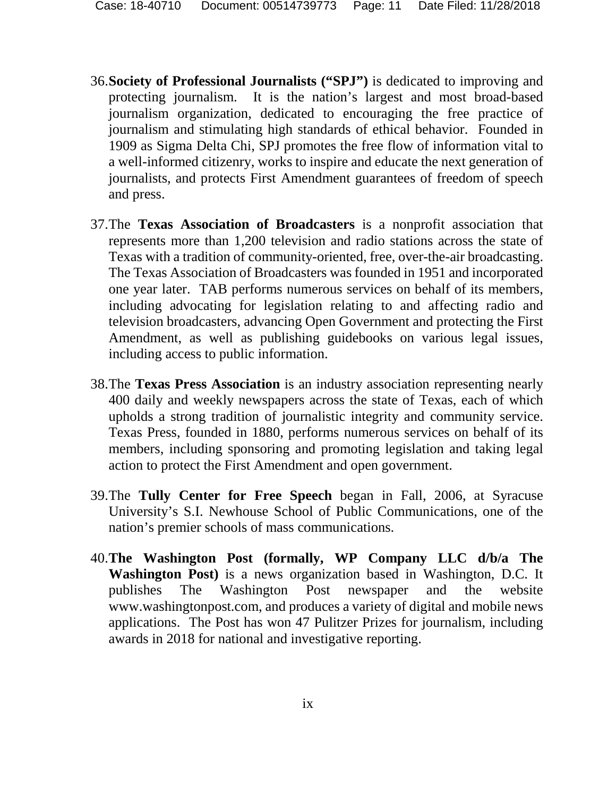- 36.**Society of Professional Journalists ("SPJ")** is dedicated to improving and protecting journalism. It is the nation's largest and most broad-based journalism organization, dedicated to encouraging the free practice of journalism and stimulating high standards of ethical behavior. Founded in 1909 as Sigma Delta Chi, SPJ promotes the free flow of information vital to a well-informed citizenry, works to inspire and educate the next generation of journalists, and protects First Amendment guarantees of freedom of speech and press.
- 37.The **Texas Association of Broadcasters** is a nonprofit association that represents more than 1,200 television and radio stations across the state of Texas with a tradition of community-oriented, free, over-the-air broadcasting. The Texas Association of Broadcasters was founded in 1951 and incorporated one year later. TAB performs numerous services on behalf of its members, including advocating for legislation relating to and affecting radio and television broadcasters, advancing Open Government and protecting the First Amendment, as well as publishing guidebooks on various legal issues, including access to public information.
- 38.The **Texas Press Association** is an industry association representing nearly 400 daily and weekly newspapers across the state of Texas, each of which upholds a strong tradition of journalistic integrity and community service. Texas Press, founded in 1880, performs numerous services on behalf of its members, including sponsoring and promoting legislation and taking legal action to protect the First Amendment and open government.
- 39.The **Tully Center for Free Speech** began in Fall, 2006, at Syracuse University's S.I. Newhouse School of Public Communications, one of the nation's premier schools of mass communications.
- 40.**The Washington Post (formally, WP Company LLC d/b/a The Washington Post)** is a news organization based in Washington, D.C. It publishes The Washington Post newspaper and the website www.washingtonpost.com, and produces a variety of digital and mobile news applications. The Post has won 47 Pulitzer Prizes for journalism, including awards in 2018 for national and investigative reporting.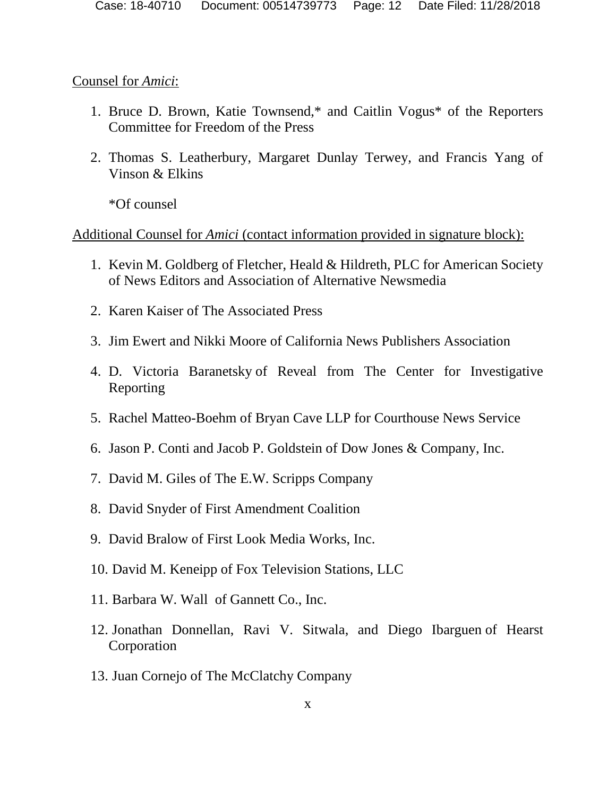#### Counsel for *Amici*:

- 1. Bruce D. Brown, Katie Townsend,\* and Caitlin Vogus\* of the Reporters Committee for Freedom of the Press
- 2. Thomas S. Leatherbury, Margaret Dunlay Terwey, and Francis Yang of Vinson & Elkins

\*Of counsel

## Additional Counsel for *Amici* (contact information provided in signature block):

- 1. Kevin M. Goldberg of Fletcher, Heald & Hildreth, PLC for American Society of News Editors and Association of Alternative Newsmedia
- 2. Karen Kaiser of The Associated Press
- 3. Jim Ewert and Nikki Moore of California News Publishers Association
- 4. D. Victoria Baranetsky of Reveal from The Center for Investigative Reporting
- 5. Rachel Matteo-Boehm of Bryan Cave LLP for Courthouse News Service
- 6. Jason P. Conti and Jacob P. Goldstein of Dow Jones & Company, Inc.
- 7. David M. Giles of The E.W. Scripps Company
- 8. David Snyder of First Amendment Coalition
- 9. David Bralow of First Look Media Works, Inc.
- 10. David M. Keneipp of Fox Television Stations, LLC
- 11. Barbara W. Wall of Gannett Co., Inc.
- 12. Jonathan Donnellan, Ravi V. Sitwala, and Diego Ibarguen of Hearst Corporation
- 13. Juan Cornejo of The McClatchy Company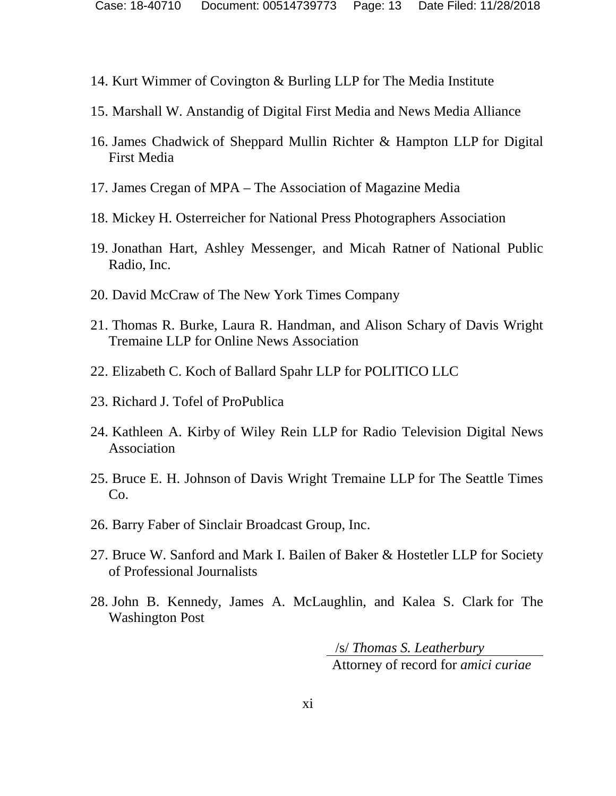- 14. Kurt Wimmer of Covington & Burling LLP for The Media Institute
- 15. Marshall W. Anstandig of Digital First Media and News Media Alliance
- 16. James Chadwick of Sheppard Mullin Richter & Hampton LLP for Digital First Media
- 17. James Cregan of MPA The Association of Magazine Media
- 18. Mickey H. Osterreicher for National Press Photographers Association
- 19. Jonathan Hart, Ashley Messenger, and Micah Ratner of National Public Radio, Inc.
- 20. David McCraw of The New York Times Company
- 21. Thomas R. Burke, Laura R. Handman, and Alison Schary of Davis Wright Tremaine LLP for Online News Association
- 22. Elizabeth C. Koch of Ballard Spahr LLP for POLITICO LLC
- 23. Richard J. Tofel of ProPublica
- 24. Kathleen A. Kirby of Wiley Rein LLP for Radio Television Digital News Association
- 25. Bruce E. H. Johnson of Davis Wright Tremaine LLP for The Seattle Times Co.
- 26. Barry Faber of Sinclair Broadcast Group, Inc.
- 27. Bruce W. Sanford and Mark I. Bailen of Baker & Hostetler LLP for Society of Professional Journalists
- 28. John B. Kennedy, James A. McLaughlin, and Kalea S. Clark for The Washington Post

 /s/ *Thomas S. Leatherbury*  Attorney of record for *amici curiae*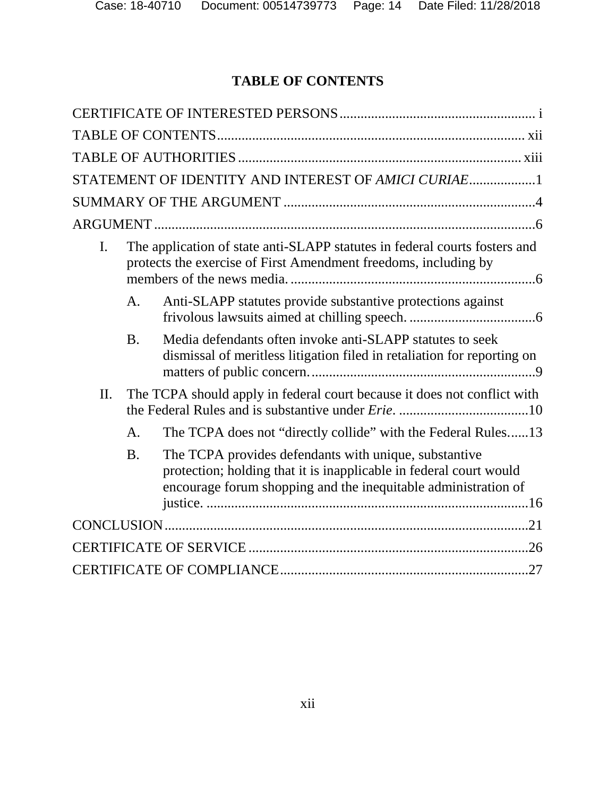# **TABLE OF CONTENTS**

|     |                                                                          | STATEMENT OF IDENTITY AND INTEREST OF AMICI CURIAE1                                                                                                                                           |  |
|-----|--------------------------------------------------------------------------|-----------------------------------------------------------------------------------------------------------------------------------------------------------------------------------------------|--|
|     |                                                                          |                                                                                                                                                                                               |  |
|     |                                                                          |                                                                                                                                                                                               |  |
| I.  |                                                                          | The application of state anti-SLAPP statutes in federal courts fosters and<br>protects the exercise of First Amendment freedoms, including by                                                 |  |
|     | A.                                                                       | Anti-SLAPP statutes provide substantive protections against                                                                                                                                   |  |
|     | <b>B.</b>                                                                | Media defendants often invoke anti-SLAPP statutes to seek<br>dismissal of meritless litigation filed in retaliation for reporting on                                                          |  |
| II. | The TCPA should apply in federal court because it does not conflict with |                                                                                                                                                                                               |  |
|     | A.                                                                       | The TCPA does not "directly collide" with the Federal Rules13                                                                                                                                 |  |
|     | <b>B.</b>                                                                | The TCPA provides defendants with unique, substantive<br>protection; holding that it is inapplicable in federal court would<br>encourage forum shopping and the inequitable administration of |  |
|     |                                                                          |                                                                                                                                                                                               |  |
|     |                                                                          |                                                                                                                                                                                               |  |
|     |                                                                          |                                                                                                                                                                                               |  |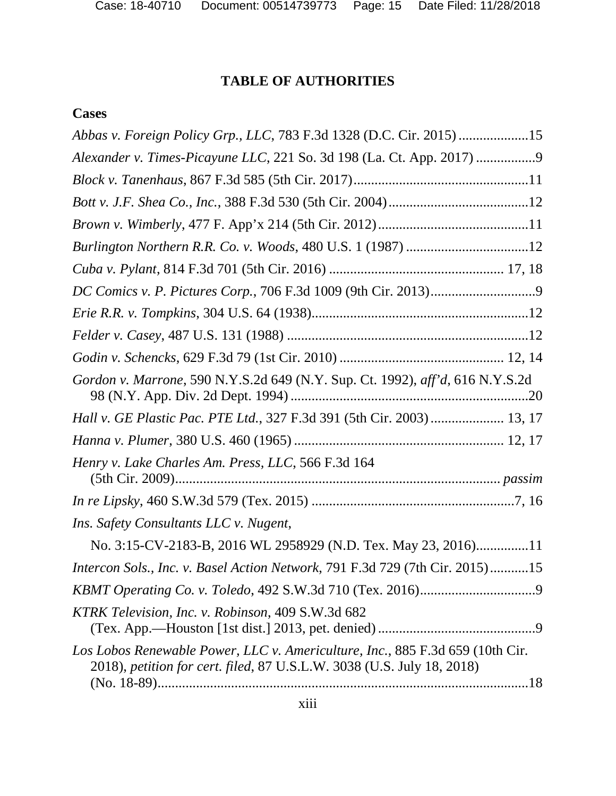# **TABLE OF AUTHORITIES**

# **Cases**

| Abbas v. Foreign Policy Grp., LLC, 783 F.3d 1328 (D.C. Cir. 2015) 15                                                                                    |
|---------------------------------------------------------------------------------------------------------------------------------------------------------|
| Alexander v. Times-Picayune LLC, 221 So. 3d 198 (La. Ct. App. 2017) 9                                                                                   |
|                                                                                                                                                         |
|                                                                                                                                                         |
|                                                                                                                                                         |
|                                                                                                                                                         |
|                                                                                                                                                         |
|                                                                                                                                                         |
|                                                                                                                                                         |
|                                                                                                                                                         |
|                                                                                                                                                         |
| Gordon v. Marrone, 590 N.Y.S.2d 649 (N.Y. Sup. Ct. 1992), aff'd, 616 N.Y.S.2d                                                                           |
| Hall v. GE Plastic Pac. PTE Ltd., 327 F.3d 391 (5th Cir. 2003)  13, 17                                                                                  |
|                                                                                                                                                         |
| Henry v. Lake Charles Am. Press, LLC, 566 F.3d 164                                                                                                      |
|                                                                                                                                                         |
| Ins. Safety Consultants LLC v. Nugent,                                                                                                                  |
| No. 3:15-CV-2183-B, 2016 WL 2958929 (N.D. Tex. May 23, 2016)11                                                                                          |
| Intercon Sols., Inc. v. Basel Action Network, 791 F.3d 729 (7th Cir. 2015)15                                                                            |
|                                                                                                                                                         |
| KTRK Television, Inc. v. Robinson, 409 S.W.3d 682                                                                                                       |
| Los Lobos Renewable Power, LLC v. Americulture, Inc., 885 F.3d 659 (10th Cir.<br>2018), petition for cert. filed, 87 U.S.L.W. 3038 (U.S. July 18, 2018) |
|                                                                                                                                                         |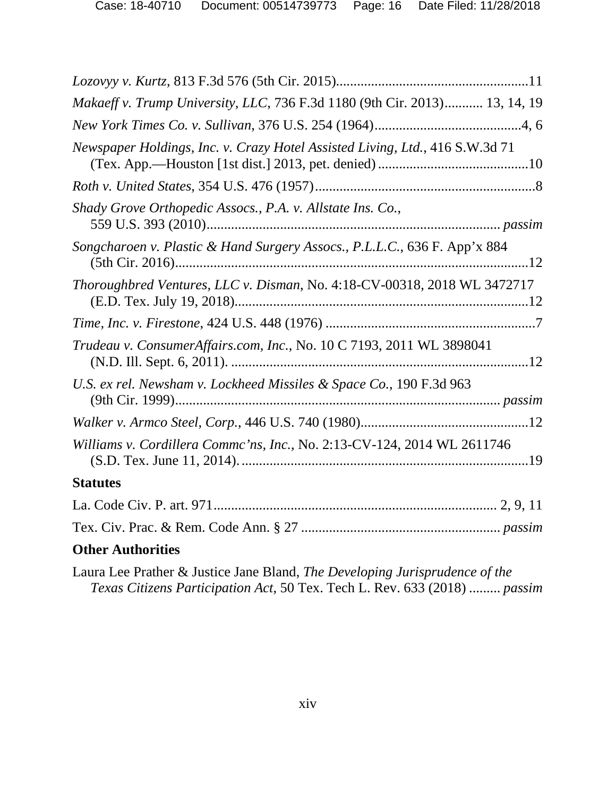| Makaeff v. Trump University, LLC, 736 F.3d 1180 (9th Cir. 2013) 13, 14, 19   |
|------------------------------------------------------------------------------|
|                                                                              |
| Newspaper Holdings, Inc. v. Crazy Hotel Assisted Living, Ltd., 416 S.W.3d 71 |
|                                                                              |
| Shady Grove Orthopedic Assocs., P.A. v. Allstate Ins. Co.,                   |
| Songcharoen v. Plastic & Hand Surgery Assocs., P.L.L.C., 636 F. App'x 884    |
| Thoroughbred Ventures, LLC v. Disman, No. 4:18-CV-00318, 2018 WL 3472717     |
|                                                                              |
| Trudeau v. ConsumerAffairs.com, Inc., No. 10 C 7193, 2011 WL 3898041         |
| U.S. ex rel. Newsham v. Lockheed Missiles & Space Co., 190 F.3d 963          |
|                                                                              |
| Williams v. Cordillera Commc'ns, Inc., No. 2:13-CV-124, 2014 WL 2611746      |
| <b>Statutes</b>                                                              |
|                                                                              |
|                                                                              |
| <b>Other Authorities</b>                                                     |
| Laura Lee Prather & Justice Jane Bland, The Developing Jurisprudence of the  |

*Texas Citizens Participation Act*, 50 Tex. Tech L. Rev. 633 (2018) ......... *passim*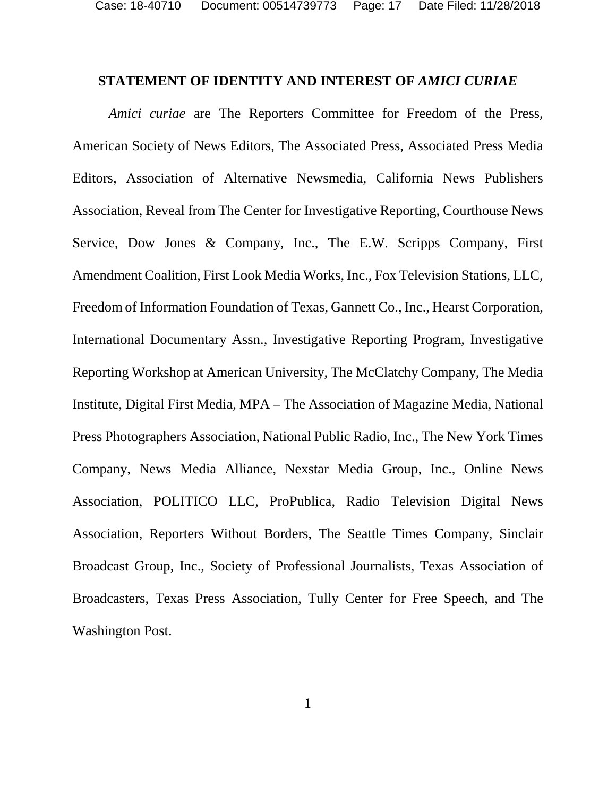#### **STATEMENT OF IDENTITY AND INTEREST OF** *AMICI CURIAE*

*Amici curiae* are The Reporters Committee for Freedom of the Press, American Society of News Editors, The Associated Press, Associated Press Media Editors, Association of Alternative Newsmedia, California News Publishers Association, Reveal from The Center for Investigative Reporting, Courthouse News Service, Dow Jones & Company, Inc., The E.W. Scripps Company, First Amendment Coalition, First Look Media Works, Inc., Fox Television Stations, LLC, Freedom of Information Foundation of Texas, Gannett Co., Inc., Hearst Corporation, International Documentary Assn., Investigative Reporting Program, Investigative Reporting Workshop at American University, The McClatchy Company, The Media Institute, Digital First Media, MPA – The Association of Magazine Media, National Press Photographers Association, National Public Radio, Inc., The New York Times Company, News Media Alliance, Nexstar Media Group, Inc., Online News Association, POLITICO LLC, ProPublica, Radio Television Digital News Association, Reporters Without Borders, The Seattle Times Company, Sinclair Broadcast Group, Inc., Society of Professional Journalists, Texas Association of Broadcasters, Texas Press Association, Tully Center for Free Speech, and The Washington Post.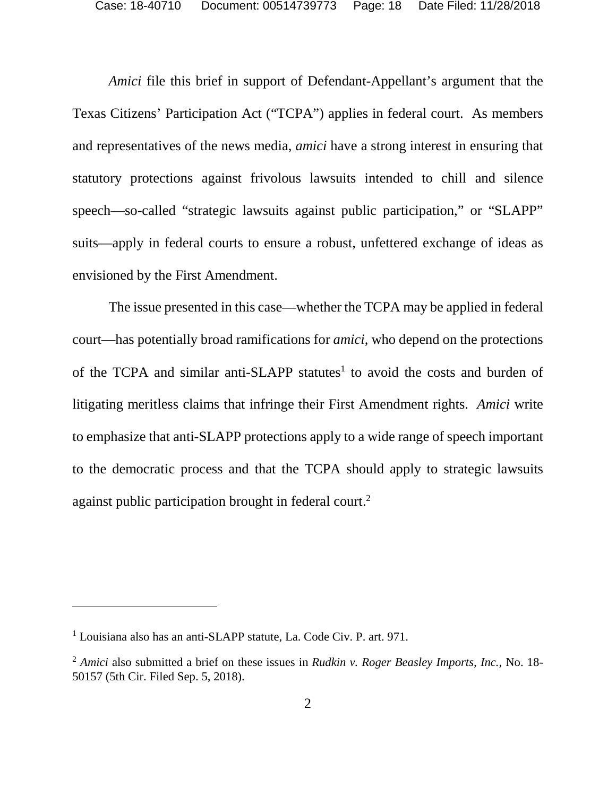*Amici* file this brief in support of Defendant-Appellant's argument that the Texas Citizens' Participation Act ("TCPA") applies in federal court. As members and representatives of the news media, *amici* have a strong interest in ensuring that statutory protections against frivolous lawsuits intended to chill and silence speech—so-called "strategic lawsuits against public participation," or "SLAPP" suits—apply in federal courts to ensure a robust, unfettered exchange of ideas as envisioned by the First Amendment.

The issue presented in this case—whether the TCPA may be applied in federal court—has potentially broad ramifications for *amici*, who depend on the protections of the TCPA and similar anti-SLAPP statutes<sup>1</sup> to avoid the costs and burden of litigating meritless claims that infringe their First Amendment rights. *Amici* write to emphasize that anti-SLAPP protections apply to a wide range of speech important to the democratic process and that the TCPA should apply to strategic lawsuits against public participation brought in federal court.<sup>2</sup>

<sup>&</sup>lt;sup>1</sup> Louisiana also has an anti-SLAPP statute, La. Code Civ. P. art. 971.

<sup>2</sup> *Amici* also submitted a brief on these issues in *Rudkin v. Roger Beasley Imports, Inc.*, No. 18- 50157 (5th Cir. Filed Sep. 5, 2018).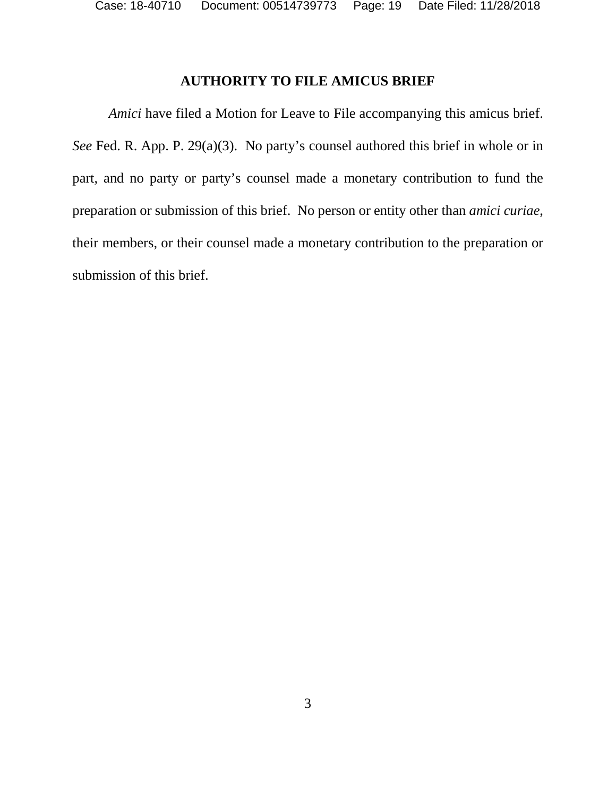## **AUTHORITY TO FILE AMICUS BRIEF**

*Amici* have filed a Motion for Leave to File accompanying this amicus brief. *See* Fed. R. App. P. 29(a)(3). No party's counsel authored this brief in whole or in part, and no party or party's counsel made a monetary contribution to fund the preparation or submission of this brief. No person or entity other than *amici curiae*, their members, or their counsel made a monetary contribution to the preparation or submission of this brief.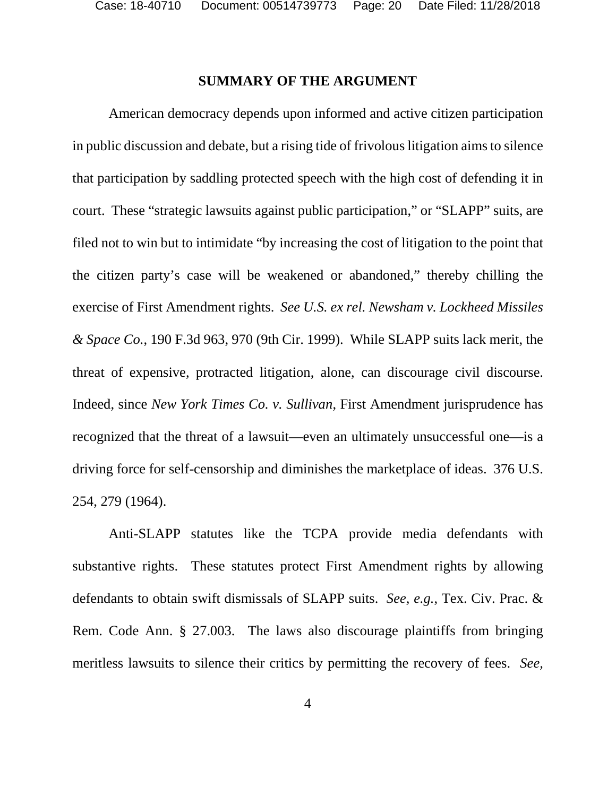#### **SUMMARY OF THE ARGUMENT**

American democracy depends upon informed and active citizen participation in public discussion and debate, but a rising tide of frivolous litigation aims to silence that participation by saddling protected speech with the high cost of defending it in court. These "strategic lawsuits against public participation," or "SLAPP" suits, are filed not to win but to intimidate "by increasing the cost of litigation to the point that the citizen party's case will be weakened or abandoned," thereby chilling the exercise of First Amendment rights. *See U.S. ex rel. Newsham v. Lockheed Missiles & Space Co.*, 190 F.3d 963, 970 (9th Cir. 1999). While SLAPP suits lack merit, the threat of expensive, protracted litigation, alone, can discourage civil discourse. Indeed, since *New York Times Co. v. Sullivan*, First Amendment jurisprudence has recognized that the threat of a lawsuit—even an ultimately unsuccessful one—is a driving force for self-censorship and diminishes the marketplace of ideas. 376 U.S. 254, 279 (1964).

Anti-SLAPP statutes like the TCPA provide media defendants with substantive rights. These statutes protect First Amendment rights by allowing defendants to obtain swift dismissals of SLAPP suits. *See, e.g.*, Tex. Civ. Prac. & Rem. Code Ann. § 27.003. The laws also discourage plaintiffs from bringing meritless lawsuits to silence their critics by permitting the recovery of fees. *See,*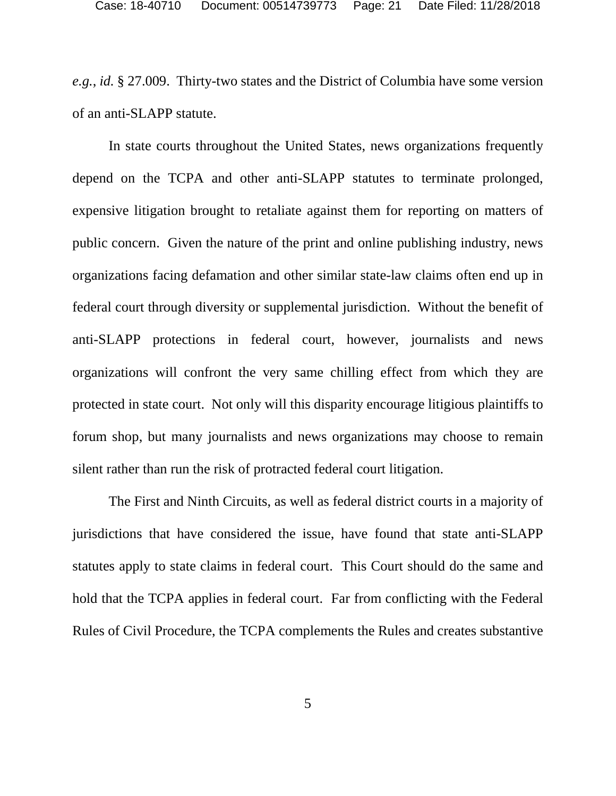*e.g.*, *id.* § 27.009. Thirty-two states and the District of Columbia have some version of an anti-SLAPP statute.

In state courts throughout the United States, news organizations frequently depend on the TCPA and other anti-SLAPP statutes to terminate prolonged, expensive litigation brought to retaliate against them for reporting on matters of public concern. Given the nature of the print and online publishing industry, news organizations facing defamation and other similar state-law claims often end up in federal court through diversity or supplemental jurisdiction. Without the benefit of anti-SLAPP protections in federal court, however, journalists and news organizations will confront the very same chilling effect from which they are protected in state court. Not only will this disparity encourage litigious plaintiffs to forum shop, but many journalists and news organizations may choose to remain silent rather than run the risk of protracted federal court litigation.

The First and Ninth Circuits, as well as federal district courts in a majority of jurisdictions that have considered the issue, have found that state anti-SLAPP statutes apply to state claims in federal court. This Court should do the same and hold that the TCPA applies in federal court. Far from conflicting with the Federal Rules of Civil Procedure, the TCPA complements the Rules and creates substantive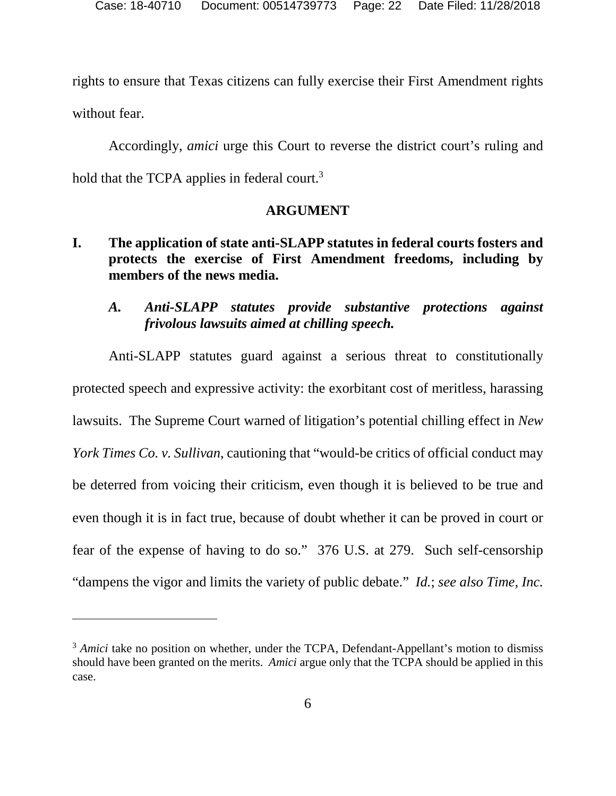rights to ensure that Texas citizens can fully exercise their First Amendment rights without fear.

Accordingly, *amici* urge this Court to reverse the district court's ruling and hold that the TCPA applies in federal court.<sup>3</sup>

## **ARGUMENT**

# **I. The application of state anti-SLAPP statutes in federal courts fosters and protects the exercise of First Amendment freedoms, including by members of the news media.**

# *A. Anti-SLAPP statutes provide substantive protections against frivolous lawsuits aimed at chilling speech.*

Anti-SLAPP statutes guard against a serious threat to constitutionally protected speech and expressive activity: the exorbitant cost of meritless, harassing lawsuits. The Supreme Court warned of litigation's potential chilling effect in *New York Times Co. v. Sullivan*, cautioning that "would-be critics of official conduct may be deterred from voicing their criticism, even though it is believed to be true and even though it is in fact true, because of doubt whether it can be proved in court or fear of the expense of having to do so." 376 U.S. at 279. Such self-censorship "dampens the vigor and limits the variety of public debate." *Id.*; *see also Time, Inc.* 

<sup>&</sup>lt;sup>3</sup> *Amici* take no position on whether, under the TCPA, Defendant-Appellant's motion to dismiss should have been granted on the merits. *Amici* argue only that the TCPA should be applied in this case.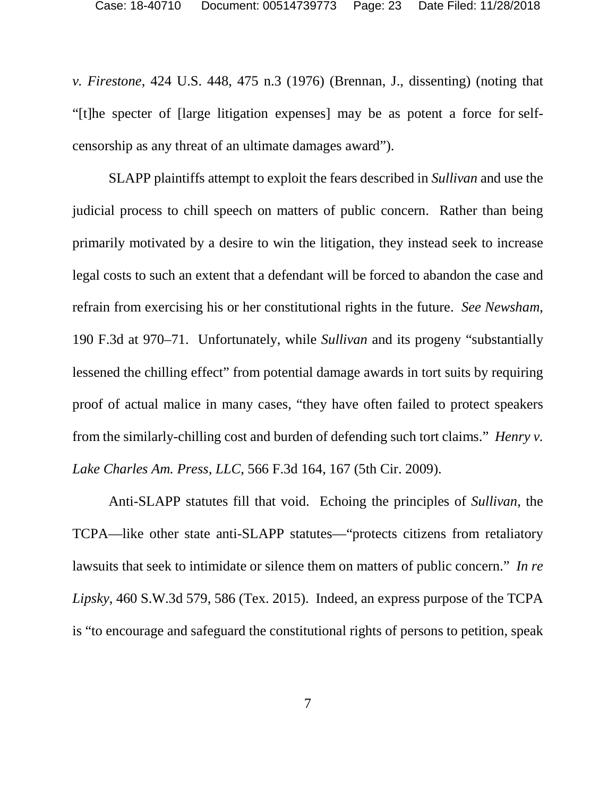*v. Firestone*, 424 U.S. 448, 475 n.3 (1976) (Brennan, J., dissenting) (noting that "[t]he specter of [large litigation expenses] may be as potent a force for selfcensorship as any threat of an ultimate damages award").

SLAPP plaintiffs attempt to exploit the fears described in *Sullivan* and use the judicial process to chill speech on matters of public concern. Rather than being primarily motivated by a desire to win the litigation, they instead seek to increase legal costs to such an extent that a defendant will be forced to abandon the case and refrain from exercising his or her constitutional rights in the future. *See Newsham*, 190 F.3d at 970–71. Unfortunately, while *Sullivan* and its progeny "substantially lessened the chilling effect" from potential damage awards in tort suits by requiring proof of actual malice in many cases, "they have often failed to protect speakers from the similarly-chilling cost and burden of defending such tort claims." *Henry v. Lake Charles Am. Press, LLC*, 566 F.3d 164, 167 (5th Cir. 2009).

Anti-SLAPP statutes fill that void. Echoing the principles of *Sullivan*, the TCPA—like other state anti-SLAPP statutes—"protects citizens from retaliatory lawsuits that seek to intimidate or silence them on matters of public concern." *In re Lipsky*, 460 S.W.3d 579, 586 (Tex. 2015). Indeed, an express purpose of the TCPA is "to encourage and safeguard the constitutional rights of persons to petition, speak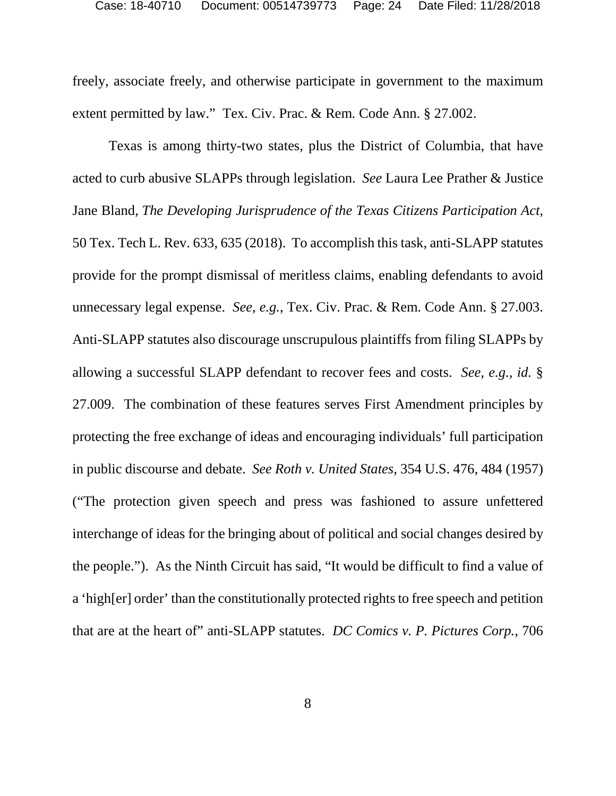freely, associate freely, and otherwise participate in government to the maximum extent permitted by law." Tex. Civ. Prac. & Rem. Code Ann. § 27.002.

Texas is among thirty-two states, plus the District of Columbia, that have acted to curb abusive SLAPPs through legislation. *See* Laura Lee Prather & Justice Jane Bland, *The Developing Jurisprudence of the Texas Citizens Participation Act*, 50 Tex. Tech L. Rev. 633, 635 (2018). To accomplish this task, anti-SLAPP statutes provide for the prompt dismissal of meritless claims, enabling defendants to avoid unnecessary legal expense. *See, e.g.*, Tex. Civ. Prac. & Rem. Code Ann. § 27.003. Anti-SLAPP statutes also discourage unscrupulous plaintiffs from filing SLAPPs by allowing a successful SLAPP defendant to recover fees and costs. *See, e.g.*, *id.* § 27.009. The combination of these features serves First Amendment principles by protecting the free exchange of ideas and encouraging individuals' full participation in public discourse and debate. *See Roth v. United States*, 354 U.S. 476, 484 (1957) ("The protection given speech and press was fashioned to assure unfettered interchange of ideas for the bringing about of political and social changes desired by the people."). As the Ninth Circuit has said, "It would be difficult to find a value of a 'high[er] order' than the constitutionally protected rights to free speech and petition that are at the heart of" anti-SLAPP statutes. *DC Comics v. P. Pictures Corp.*, 706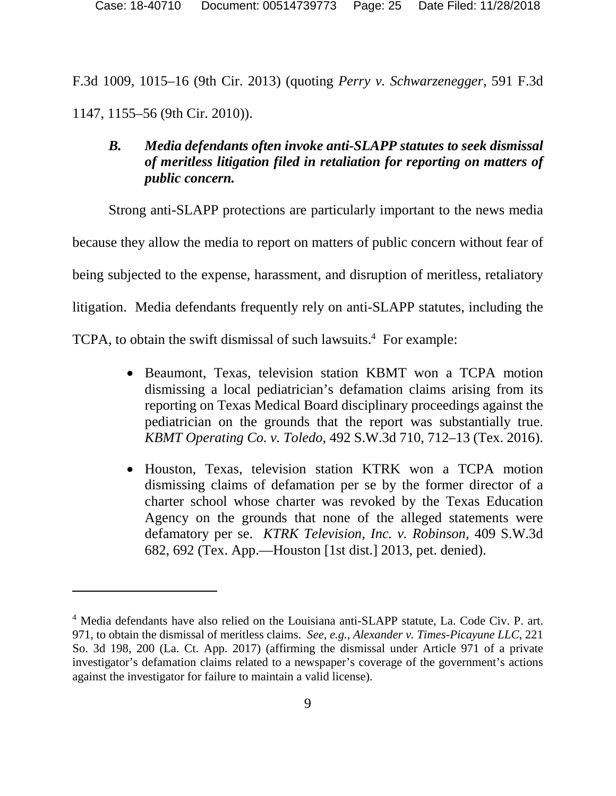F.3d 1009, 1015–16 (9th Cir. 2013) (quoting *Perry v. Schwarzenegger*, 591 F.3d 1147, 1155–56 (9th Cir. 2010)).

# *B. Media defendants often invoke anti-SLAPP statutes to seek dismissal of meritless litigation filed in retaliation for reporting on matters of public concern.*

Strong anti-SLAPP protections are particularly important to the news media because they allow the media to report on matters of public concern without fear of being subjected to the expense, harassment, and disruption of meritless, retaliatory litigation. Media defendants frequently rely on anti-SLAPP statutes, including the TCPA, to obtain the swift dismissal of such lawsuits.<sup>4</sup> For example:

- Beaumont, Texas, television station KBMT won a TCPA motion dismissing a local pediatrician's defamation claims arising from its reporting on Texas Medical Board disciplinary proceedings against the pediatrician on the grounds that the report was substantially true. *KBMT Operating Co. v. Toledo*, 492 S.W.3d 710, 712–13 (Tex. 2016).
- Houston, Texas, television station KTRK won a TCPA motion dismissing claims of defamation per se by the former director of a charter school whose charter was revoked by the Texas Education Agency on the grounds that none of the alleged statements were defamatory per se. *KTRK Television, Inc. v. Robinson*, 409 S.W.3d 682, 692 (Tex. App.—Houston [1st dist.] 2013, pet. denied).

<sup>&</sup>lt;sup>4</sup> Media defendants have also relied on the Louisiana anti-SLAPP statute, La. Code Civ. P. art. 971, to obtain the dismissal of meritless claims. *See, e.g.*, *Alexander v. Times-Picayune LLC*, 221 So. 3d 198, 200 (La. Ct. App. 2017) (affirming the dismissal under Article 971 of a private investigator's defamation claims related to a newspaper's coverage of the government's actions against the investigator for failure to maintain a valid license).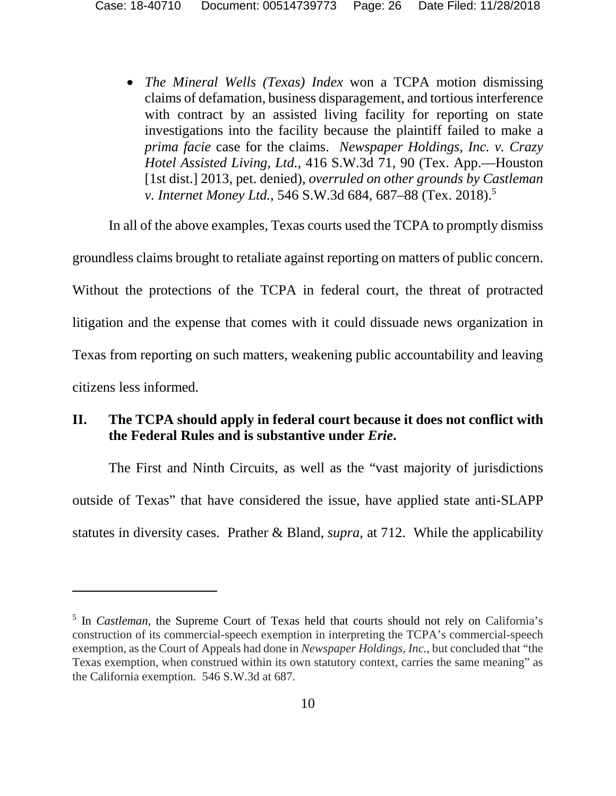• *The Mineral Wells (Texas) Index* won a TCPA motion dismissing claims of defamation, business disparagement, and tortious interference with contract by an assisted living facility for reporting on state investigations into the facility because the plaintiff failed to make a *prima facie* case for the claims. *Newspaper Holdings, Inc. v. Crazy Hotel Assisted Living, Ltd.*, 416 S.W.3d 71, 90 (Tex. App.—Houston [1st dist.] 2013, pet. denied), *overruled on other grounds by Castleman v. Internet Money Ltd.*, 546 S.W.3d 684, 687–88 (Tex. 2018).<sup>5</sup>

In all of the above examples, Texas courts used the TCPA to promptly dismiss

groundless claims brought to retaliate against reporting on matters of public concern. Without the protections of the TCPA in federal court, the threat of protracted litigation and the expense that comes with it could dissuade news organization in Texas from reporting on such matters, weakening public accountability and leaving citizens less informed.

# **II. The TCPA should apply in federal court because it does not conflict with the Federal Rules and is substantive under** *Erie***.**

The First and Ninth Circuits, as well as the "vast majority of jurisdictions outside of Texas" that have considered the issue, have applied state anti-SLAPP statutes in diversity cases. Prather & Bland, *supra*, at 712. While the applicability

<sup>&</sup>lt;sup>5</sup> In *Castleman*, the Supreme Court of Texas held that courts should not rely on California's construction of its commercial-speech exemption in interpreting the TCPA's commercial-speech exemption, as the Court of Appeals had done in *Newspaper Holdings, Inc.*, but concluded that "the Texas exemption, when construed within its own statutory context, carries the same meaning" as the California exemption. 546 S.W.3d at 687.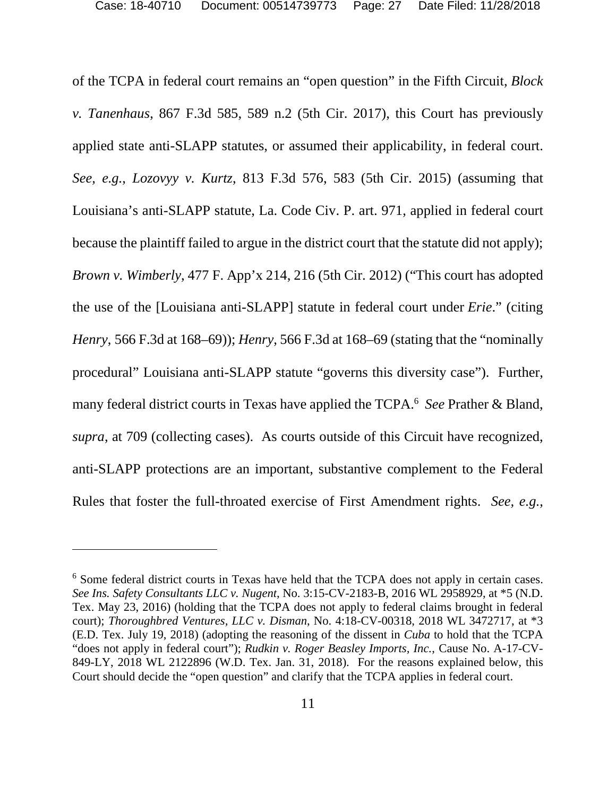of the TCPA in federal court remains an "open question" in the Fifth Circuit, *Block v. Tanenhaus*, 867 F.3d 585, 589 n.2 (5th Cir. 2017), this Court has previously applied state anti-SLAPP statutes, or assumed their applicability, in federal court. *See, e.g.*, *Lozovyy v. Kurtz*, 813 F.3d 576, 583 (5th Cir. 2015) (assuming that Louisiana's anti-SLAPP statute, La. Code Civ. P. art. 971, applied in federal court because the plaintiff failed to argue in the district court that the statute did not apply); *Brown v. Wimberly*, 477 F. App'x 214, 216 (5th Cir. 2012) ("This court has adopted the use of the [Louisiana anti-SLAPP] statute in federal court under *Erie*." (citing *Henry*, 566 F.3d at 168–69)); *Henry*, 566 F.3d at 168–69 (stating that the "nominally procedural" Louisiana anti-SLAPP statute "governs this diversity case"). Further, many federal district courts in Texas have applied the TCPA.<sup>6</sup> *See* Prather & Bland, *supra*, at 709 (collecting cases). As courts outside of this Circuit have recognized, anti-SLAPP protections are an important, substantive complement to the Federal Rules that foster the full-throated exercise of First Amendment rights. *See, e.g.*,

<sup>&</sup>lt;sup>6</sup> Some federal district courts in Texas have held that the TCPA does not apply in certain cases. *See Ins. Safety Consultants LLC v. Nugent*, No. 3:15-CV-2183-B, 2016 WL 2958929, at \*5 (N.D. Tex. May 23, 2016) (holding that the TCPA does not apply to federal claims brought in federal court); *Thoroughbred Ventures, LLC v. Disman*, No. 4:18-CV-00318, 2018 WL 3472717, at \*3 (E.D. Tex. July 19, 2018) (adopting the reasoning of the dissent in *Cuba* to hold that the TCPA "does not apply in federal court"); *Rudkin v. Roger Beasley Imports, Inc.*, Cause No. A-17-CV-849-LY, 2018 WL 2122896 (W.D. Tex. Jan. 31, 2018). For the reasons explained below, this Court should decide the "open question" and clarify that the TCPA applies in federal court.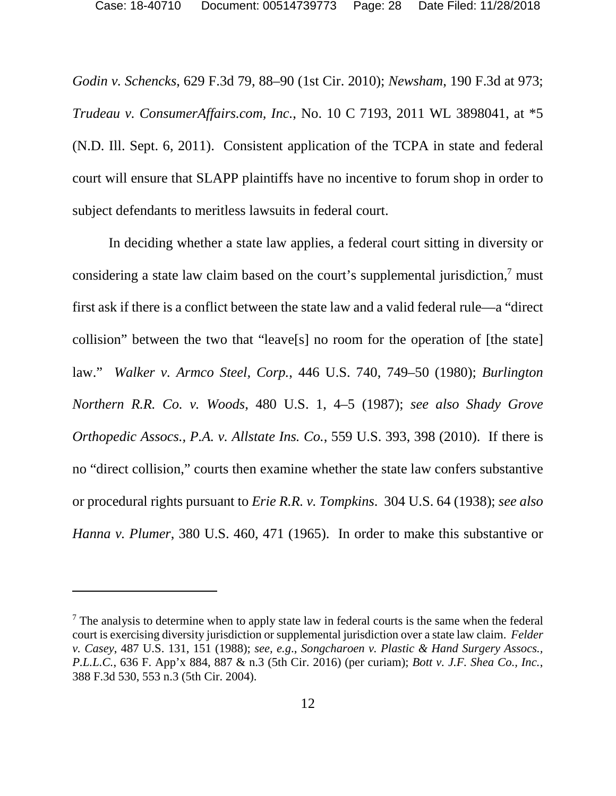*Godin v. Schencks*, 629 F.3d 79, 88–90 (1st Cir. 2010); *Newsham*, 190 F.3d at 973; *Trudeau v. ConsumerAffairs.com, Inc.*, No. 10 C 7193, 2011 WL 3898041, at \*5 (N.D. Ill. Sept. 6, 2011). Consistent application of the TCPA in state and federal court will ensure that SLAPP plaintiffs have no incentive to forum shop in order to subject defendants to meritless lawsuits in federal court.

In deciding whether a state law applies, a federal court sitting in diversity or considering a state law claim based on the court's supplemental jurisdiction,<sup>7</sup> must first ask if there is a conflict between the state law and a valid federal rule—a "direct collision" between the two that "leave[s] no room for the operation of [the state] law." *Walker v. Armco Steel, Corp.*, 446 U.S. 740, 749–50 (1980); *Burlington Northern R.R. Co. v. Woods*, 480 U.S. 1, 4–5 (1987); *see also Shady Grove Orthopedic Assocs., P.A. v. Allstate Ins. Co.*, 559 U.S. 393, 398 (2010). If there is no "direct collision," courts then examine whether the state law confers substantive or procedural rights pursuant to *Erie R.R. v. Tompkins*. 304 U.S. 64 (1938); *see also Hanna v. Plumer*, 380 U.S. 460, 471 (1965). In order to make this substantive or

 $<sup>7</sup>$  The analysis to determine when to apply state law in federal courts is the same when the federal</sup> court is exercising diversity jurisdiction or supplemental jurisdiction over a state law claim. *Felder v. Casey*, 487 U.S. 131, 151 (1988); *see, e.g*., *Songcharoen v. Plastic & Hand Surgery Assocs., P.L.L.C.*, 636 F. App'x 884, 887 & n.3 (5th Cir. 2016) (per curiam); *Bott v. J.F. Shea Co., Inc.*, 388 F.3d 530, 553 n.3 (5th Cir. 2004).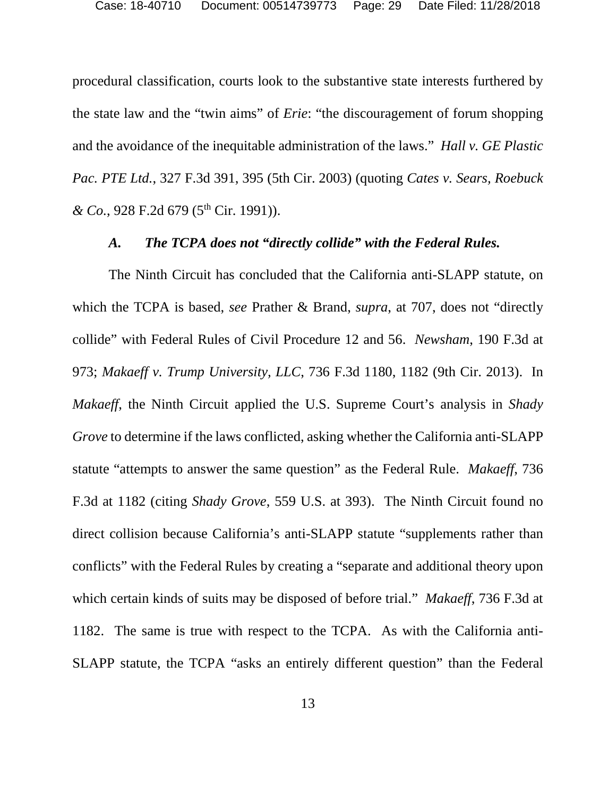procedural classification, courts look to the substantive state interests furthered by the state law and the "twin aims" of *Erie*: "the discouragement of forum shopping and the avoidance of the inequitable administration of the laws." *Hall v. GE Plastic Pac. PTE Ltd.*, 327 F.3d 391, 395 (5th Cir. 2003) (quoting *Cates v. Sears, Roebuck & Co.*, 928 F.2d 679 (5<sup>th</sup> Cir. 1991)).

#### *A. The TCPA does not "directly collide" with the Federal Rules.*

The Ninth Circuit has concluded that the California anti-SLAPP statute, on which the TCPA is based, *see* Prather & Brand, *supra*, at 707, does not "directly collide" with Federal Rules of Civil Procedure 12 and 56. *Newsham*, 190 F.3d at 973; *Makaeff v. Trump University, LLC*, 736 F.3d 1180, 1182 (9th Cir. 2013). In *Makaeff*, the Ninth Circuit applied the U.S. Supreme Court's analysis in *Shady Grove* to determine if the laws conflicted, asking whether the California anti-SLAPP statute "attempts to answer the same question" as the Federal Rule. *Makaeff*, 736 F.3d at 1182 (citing *Shady Grove*, 559 U.S. at 393). The Ninth Circuit found no direct collision because California's anti-SLAPP statute "supplements rather than conflicts" with the Federal Rules by creating a "separate and additional theory upon which certain kinds of suits may be disposed of before trial." *Makaeff*, 736 F.3d at 1182. The same is true with respect to the TCPA. As with the California anti-SLAPP statute, the TCPA "asks an entirely different question" than the Federal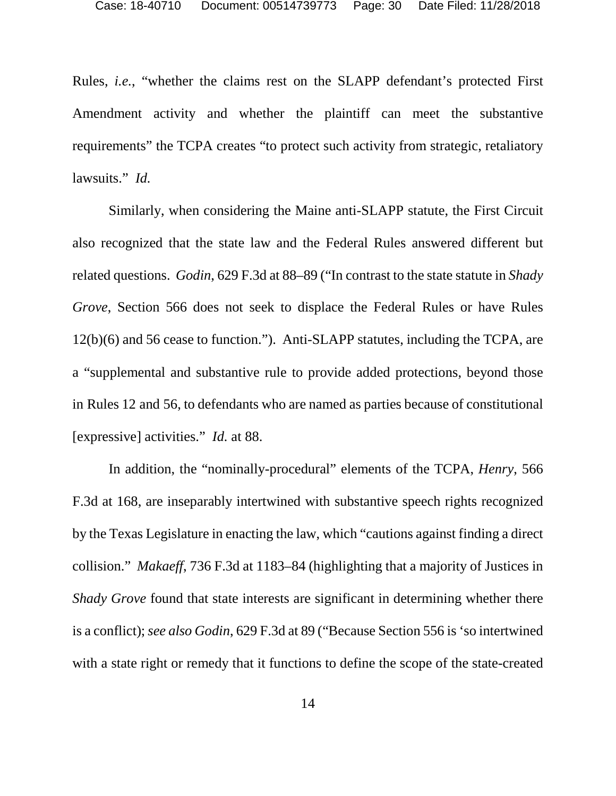Rules, *i.e.*, "whether the claims rest on the SLAPP defendant's protected First Amendment activity and whether the plaintiff can meet the substantive requirements" the TCPA creates "to protect such activity from strategic, retaliatory lawsuits." *Id.*

Similarly, when considering the Maine anti-SLAPP statute, the First Circuit also recognized that the state law and the Federal Rules answered different but related questions. *Godin*, 629 F.3d at 88–89 ("In contrast to the state statute in *Shady Grove*, Section 566 does not seek to displace the Federal Rules or have Rules 12(b)(6) and 56 cease to function."). Anti-SLAPP statutes, including the TCPA, are a "supplemental and substantive rule to provide added protections, beyond those in Rules 12 and 56, to defendants who are named as parties because of constitutional [expressive] activities." *Id.* at 88.

In addition, the "nominally-procedural" elements of the TCPA, *Henry*, 566 F.3d at 168, are inseparably intertwined with substantive speech rights recognized by the Texas Legislature in enacting the law, which "cautions against finding a direct collision." *Makaeff*, 736 F.3d at 1183–84 (highlighting that a majority of Justices in *Shady Grove* found that state interests are significant in determining whether there is a conflict); *see also Godin*, 629 F.3d at 89 ("Because Section 556 is 'so intertwined with a state right or remedy that it functions to define the scope of the state-created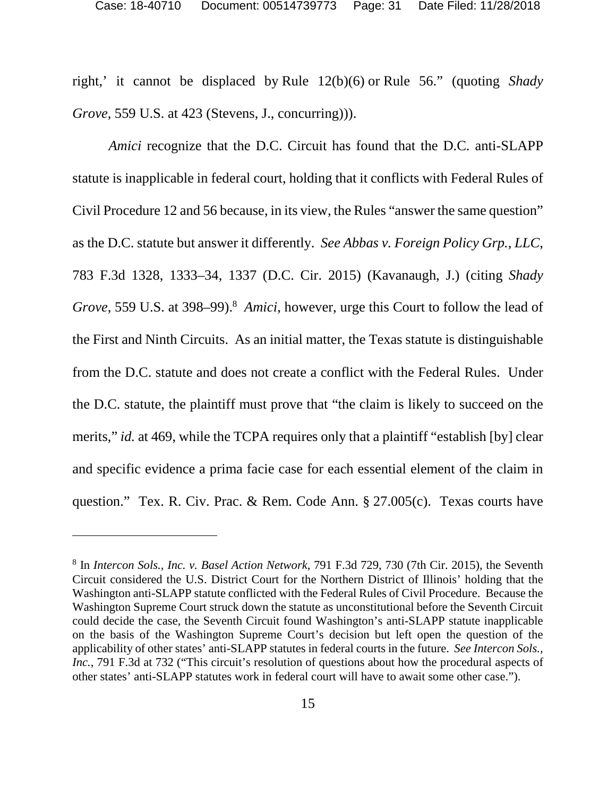right,' it cannot be displaced by Rule 12(b)(6) or Rule 56." (quoting *Shady Grove,* 559 U.S. at 423 (Stevens, J., concurring))).

*Amici* recognize that the D.C. Circuit has found that the D.C. anti-SLAPP statute is inapplicable in federal court, holding that it conflicts with Federal Rules of Civil Procedure 12 and 56 because, in its view, the Rules "answer the same question" as the D.C. statute but answer it differently. *See Abbas v. Foreign Policy Grp., LLC*, 783 F.3d 1328, 1333–34, 1337 (D.C. Cir. 2015) (Kavanaugh, J.) (citing *Shady Grove*, 559 U.S. at 398–99).<sup>8</sup> *Amici*, however, urge this Court to follow the lead of the First and Ninth Circuits. As an initial matter, the Texas statute is distinguishable from the D.C. statute and does not create a conflict with the Federal Rules. Under the D.C. statute, the plaintiff must prove that "the claim is likely to succeed on the merits," *id.* at 469, while the TCPA requires only that a plaintiff "establish [by] clear and specific evidence a prima facie case for each essential element of the claim in question." Tex. R. Civ. Prac. & Rem. Code Ann. § 27.005(c). Texas courts have

<sup>8</sup> In *Intercon Sols., Inc. v. Basel Action Network*, 791 F.3d 729, 730 (7th Cir. 2015), the Seventh Circuit considered the U.S. District Court for the Northern District of Illinois' holding that the Washington anti-SLAPP statute conflicted with the Federal Rules of Civil Procedure. Because the Washington Supreme Court struck down the statute as unconstitutional before the Seventh Circuit could decide the case, the Seventh Circuit found Washington's anti-SLAPP statute inapplicable on the basis of the Washington Supreme Court's decision but left open the question of the applicability of other states' anti-SLAPP statutes in federal courts in the future. *See Intercon Sols., Inc.*, 791 F.3d at 732 ("This circuit's resolution of questions about how the procedural aspects of other states' anti-SLAPP statutes work in federal court will have to await some other case.").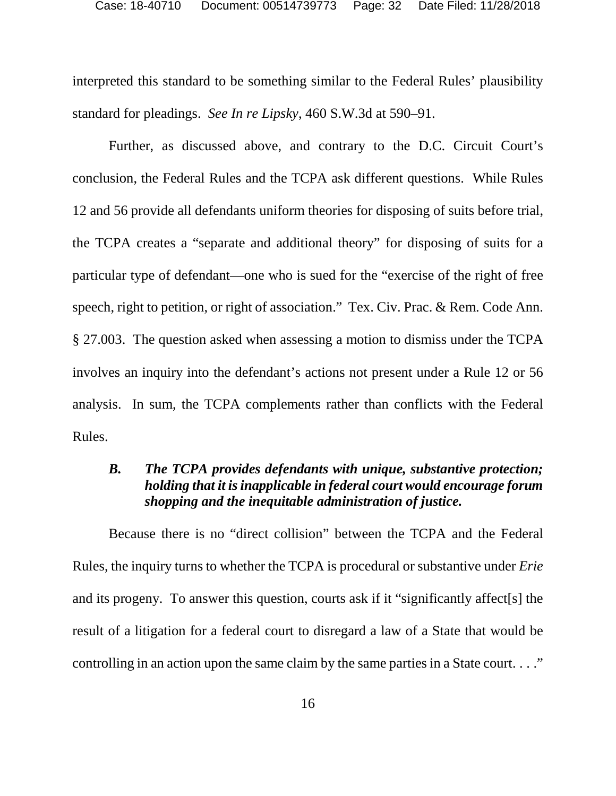interpreted this standard to be something similar to the Federal Rules' plausibility standard for pleadings. *See In re Lipsky*, 460 S.W.3d at 590–91.

Further, as discussed above, and contrary to the D.C. Circuit Court's conclusion, the Federal Rules and the TCPA ask different questions. While Rules 12 and 56 provide all defendants uniform theories for disposing of suits before trial, the TCPA creates a "separate and additional theory" for disposing of suits for a particular type of defendant—one who is sued for the "exercise of the right of free speech, right to petition, or right of association." Tex. Civ. Prac. & Rem. Code Ann. § 27.003. The question asked when assessing a motion to dismiss under the TCPA involves an inquiry into the defendant's actions not present under a Rule 12 or 56 analysis. In sum, the TCPA complements rather than conflicts with the Federal Rules.

## *B. The TCPA provides defendants with unique, substantive protection; holding that it is inapplicable in federal court would encourage forum shopping and the inequitable administration of justice.*

Because there is no "direct collision" between the TCPA and the Federal Rules, the inquiry turns to whether the TCPA is procedural or substantive under *Erie* and its progeny. To answer this question, courts ask if it "significantly affect[s] the result of a litigation for a federal court to disregard a law of a State that would be controlling in an action upon the same claim by the same parties in a State court.  $\dots$ "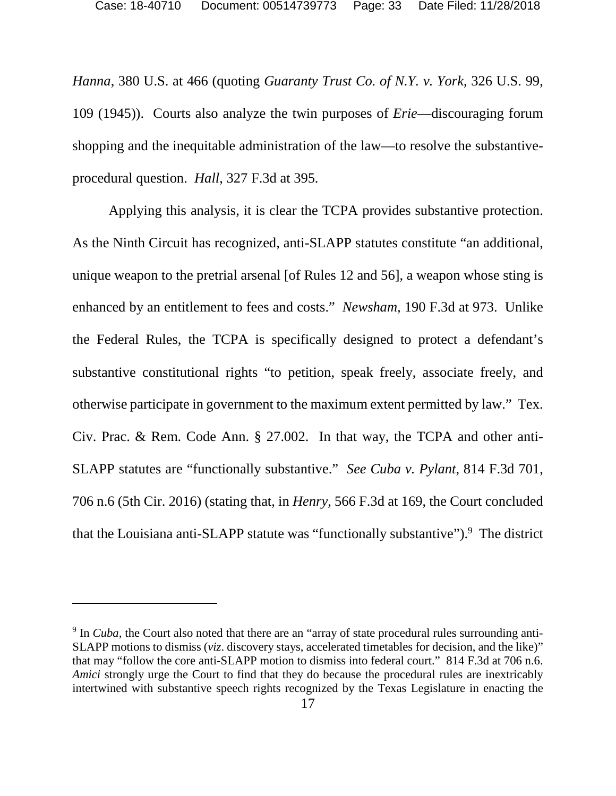*Hanna*, 380 U.S. at 466 (quoting *Guaranty Trust Co. of N.Y. v. York*, 326 U.S. 99, 109 (1945)). Courts also analyze the twin purposes of *Erie*—discouraging forum shopping and the inequitable administration of the law—to resolve the substantiveprocedural question. *Hall*, 327 F.3d at 395.

Applying this analysis, it is clear the TCPA provides substantive protection. As the Ninth Circuit has recognized, anti-SLAPP statutes constitute "an additional, unique weapon to the pretrial arsenal [of Rules 12 and 56], a weapon whose sting is enhanced by an entitlement to fees and costs." *Newsham*, 190 F.3d at 973. Unlike the Federal Rules, the TCPA is specifically designed to protect a defendant's substantive constitutional rights "to petition, speak freely, associate freely, and otherwise participate in government to the maximum extent permitted by law." Tex. Civ. Prac. & Rem. Code Ann. § 27.002. In that way, the TCPA and other anti-SLAPP statutes are "functionally substantive." *See Cuba v. Pylant*, 814 F.3d 701, 706 n.6 (5th Cir. 2016) (stating that, in *Henry*, 566 F.3d at 169, the Court concluded that the Louisiana anti-SLAPP statute was "functionally substantive").<sup>9</sup> The district

<sup>&</sup>lt;sup>9</sup> In *Cuba*, the Court also noted that there are an "array of state procedural rules surrounding anti-SLAPP motions to dismiss (*viz*. discovery stays, accelerated timetables for decision, and the like)" that may "follow the core anti-SLAPP motion to dismiss into federal court." 814 F.3d at 706 n.6. *Amici* strongly urge the Court to find that they do because the procedural rules are inextricably intertwined with substantive speech rights recognized by the Texas Legislature in enacting the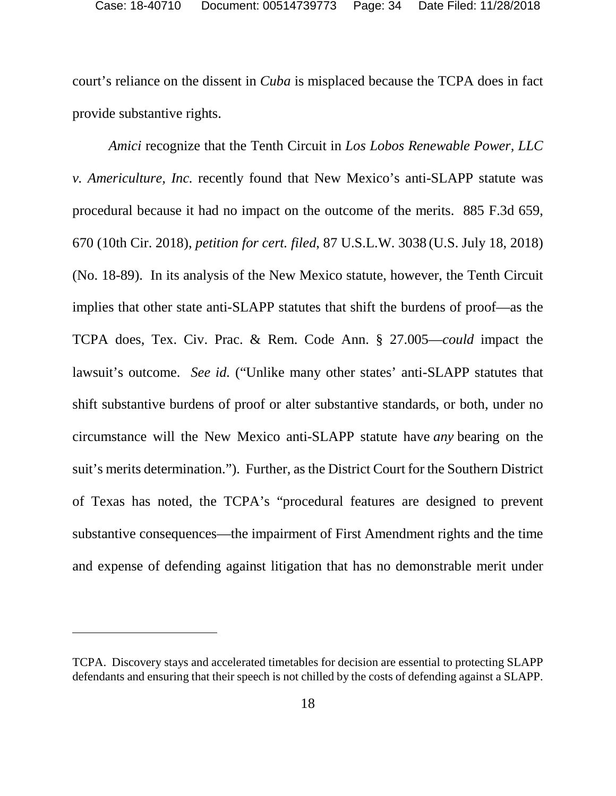court's reliance on the dissent in *Cuba* is misplaced because the TCPA does in fact provide substantive rights.

*Amici* recognize that the Tenth Circuit in *Los Lobos Renewable Power, LLC v. Americulture, Inc.* recently found that New Mexico's anti-SLAPP statute was procedural because it had no impact on the outcome of the merits. 885 F.3d 659, 670 (10th Cir. 2018), *petition for cert. filed*, 87 U.S.L.W. 3038 (U.S. July 18, 2018) (No. 18-89). In its analysis of the New Mexico statute, however, the Tenth Circuit implies that other state anti-SLAPP statutes that shift the burdens of proof—as the TCPA does, Tex. Civ. Prac. & Rem. Code Ann. § 27.005—*could* impact the lawsuit's outcome. *See id.* ("Unlike many other states' anti-SLAPP statutes that shift substantive burdens of proof or alter substantive standards, or both, under no circumstance will the New Mexico anti-SLAPP statute have *any* bearing on the suit's merits determination."). Further, as the District Court for the Southern District of Texas has noted, the TCPA's "procedural features are designed to prevent substantive consequences—the impairment of First Amendment rights and the time and expense of defending against litigation that has no demonstrable merit under

TCPA. Discovery stays and accelerated timetables for decision are essential to protecting SLAPP defendants and ensuring that their speech is not chilled by the costs of defending against a SLAPP.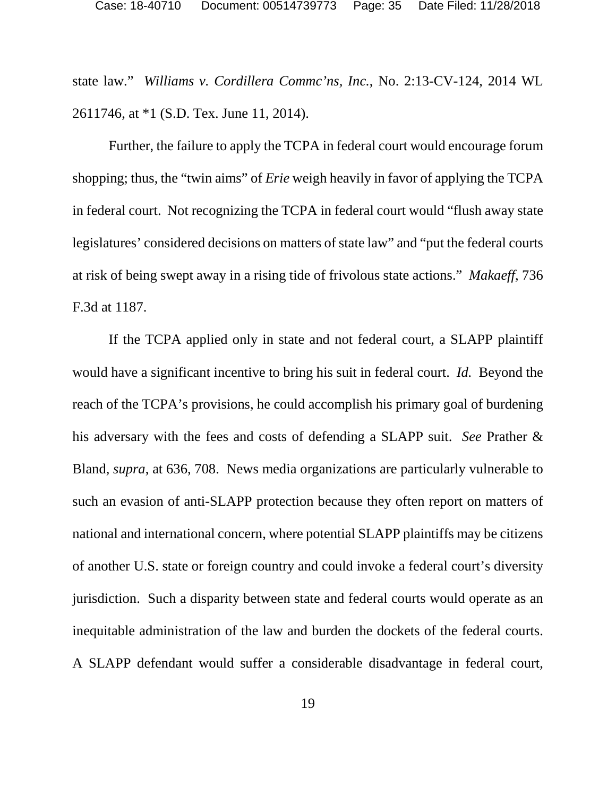state law." *Williams v. Cordillera Commc'ns, Inc.*, No. 2:13-CV-124, 2014 WL 2611746, at \*1 (S.D. Tex. June 11, 2014).

Further, the failure to apply the TCPA in federal court would encourage forum shopping; thus, the "twin aims" of *Erie* weigh heavily in favor of applying the TCPA in federal court. Not recognizing the TCPA in federal court would "flush away state legislatures' considered decisions on matters of state law" and "put the federal courts at risk of being swept away in a rising tide of frivolous state actions." *Makaeff*, 736 F.3d at 1187.

If the TCPA applied only in state and not federal court, a SLAPP plaintiff would have a significant incentive to bring his suit in federal court. *Id.* Beyond the reach of the TCPA's provisions, he could accomplish his primary goal of burdening his adversary with the fees and costs of defending a SLAPP suit. *See* Prather & Bland, *supra*, at 636, 708. News media organizations are particularly vulnerable to such an evasion of anti-SLAPP protection because they often report on matters of national and international concern, where potential SLAPP plaintiffs may be citizens of another U.S. state or foreign country and could invoke a federal court's diversity jurisdiction. Such a disparity between state and federal courts would operate as an inequitable administration of the law and burden the dockets of the federal courts. A SLAPP defendant would suffer a considerable disadvantage in federal court,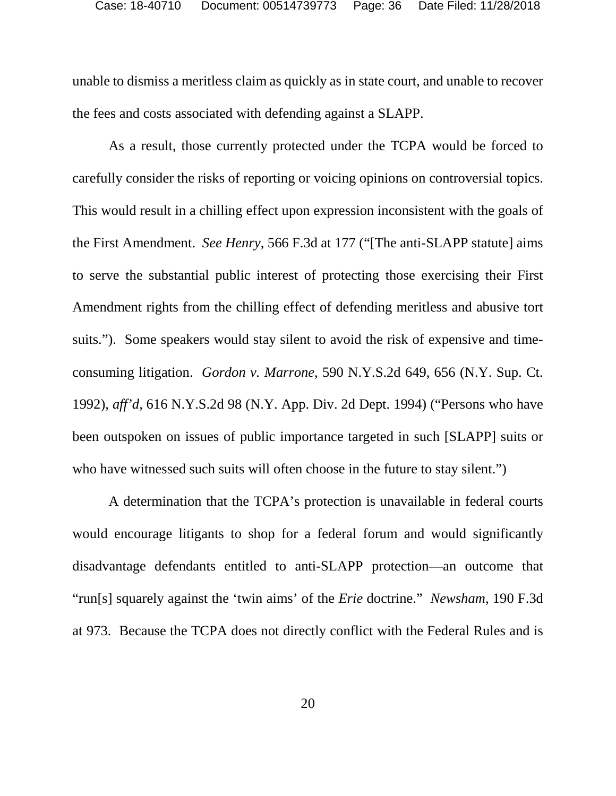unable to dismiss a meritless claim as quickly as in state court, and unable to recover the fees and costs associated with defending against a SLAPP.

As a result, those currently protected under the TCPA would be forced to carefully consider the risks of reporting or voicing opinions on controversial topics. This would result in a chilling effect upon expression inconsistent with the goals of the First Amendment. *See Henry*, 566 F.3d at 177 ("[The anti-SLAPP statute] aims to serve the substantial public interest of protecting those exercising their First Amendment rights from the chilling effect of defending meritless and abusive tort suits."). Some speakers would stay silent to avoid the risk of expensive and timeconsuming litigation. *Gordon v. Marrone*, 590 N.Y.S.2d 649, 656 (N.Y. Sup. Ct. 1992), *aff'd*, 616 N.Y.S.2d 98 (N.Y. App. Div. 2d Dept. 1994) ("Persons who have been outspoken on issues of public importance targeted in such [SLAPP] suits or who have witnessed such suits will often choose in the future to stay silent.")

A determination that the TCPA's protection is unavailable in federal courts would encourage litigants to shop for a federal forum and would significantly disadvantage defendants entitled to anti-SLAPP protection—an outcome that "run[s] squarely against the 'twin aims' of the *Erie* doctrine." *Newsham*, 190 F.3d at 973. Because the TCPA does not directly conflict with the Federal Rules and is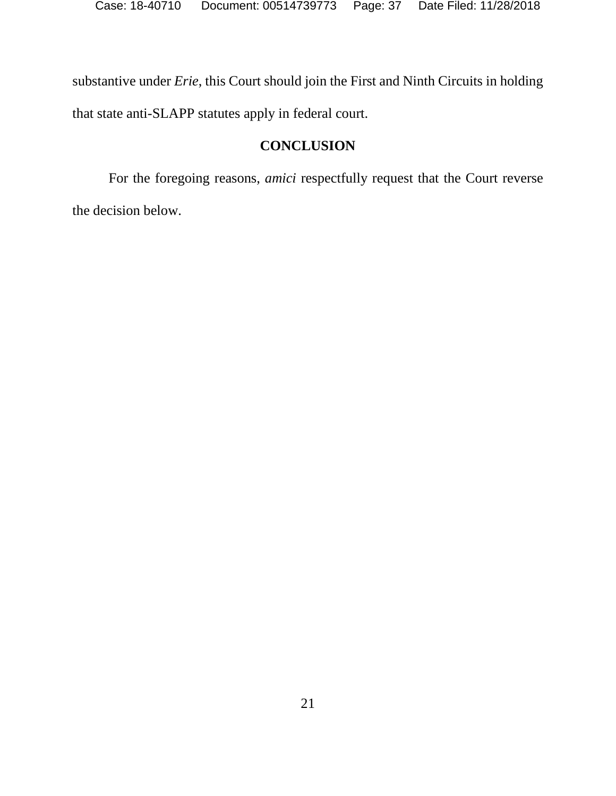substantive under *Erie*, this Court should join the First and Ninth Circuits in holding that state anti-SLAPP statutes apply in federal court.

# **CONCLUSION**

For the foregoing reasons, *amici* respectfully request that the Court reverse the decision below.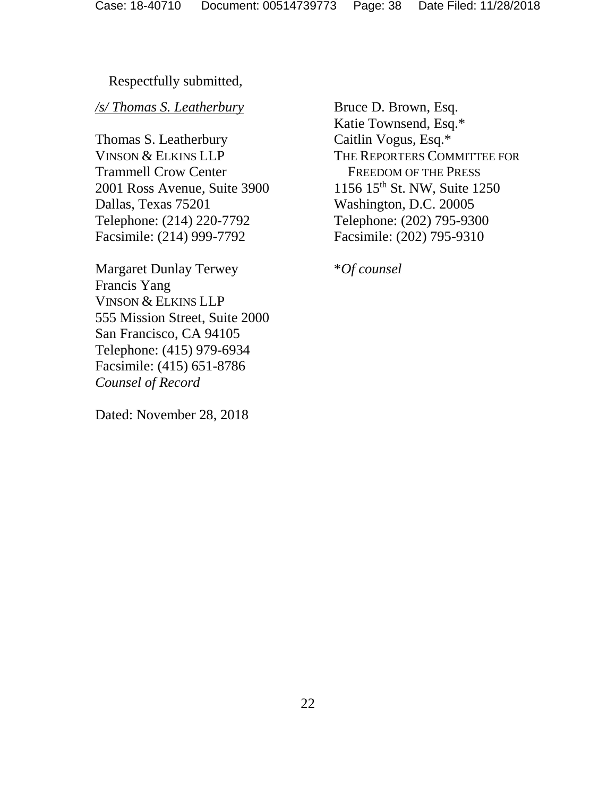## Respectfully submitted,

#### */s/ Thomas S. Leatherbury*

Thomas S. Leatherbury VINSON & ELKINS LLP Trammell Crow Center 2001 Ross Avenue, Suite 3900 Dallas, Texas 75201 Telephone: (214) 220-7792 Facsimile: (214) 999-7792

Margaret Dunlay Terwey Francis Yang VINSON & ELKINS LLP 555 Mission Street, Suite 2000 San Francisco, CA 94105 Telephone: (415) 979-6934 Facsimile: (415) 651-8786 *Counsel of Record* 

Dated: November 28, 2018

Bruce D. Brown, Esq. Katie Townsend, Esq.\* Caitlin Vogus, Esq.\* THE REPORTERS COMMITTEE FOR FREEDOM OF THE PRESS 1156 15th St. NW, Suite 1250 Washington, D.C. 20005 Telephone: (202) 795-9300 Facsimile: (202) 795-9310

\**Of counsel*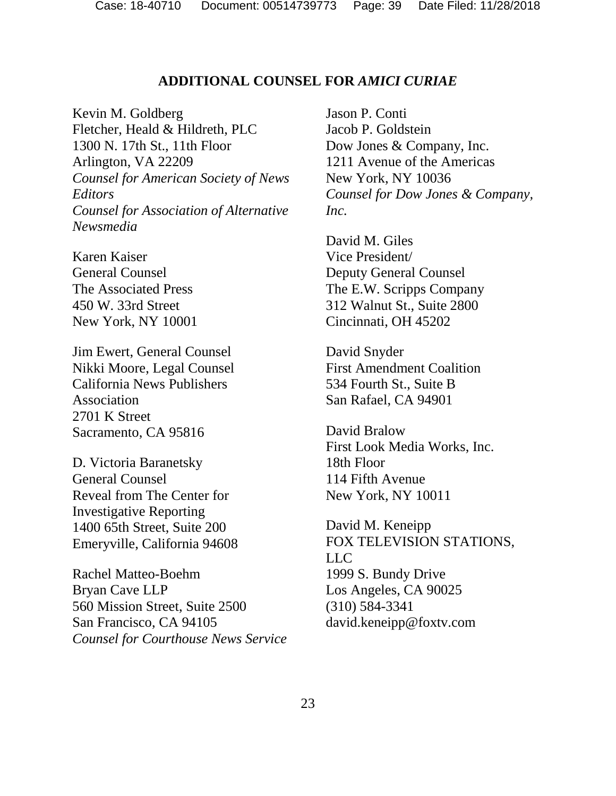#### **ADDITIONAL COUNSEL FOR** *AMICI CURIAE*

Kevin M. Goldberg Fletcher, Heald & Hildreth, PLC 1300 N. 17th St., 11th Floor Arlington, VA 22209 *Counsel for American Society of News Editors Counsel for Association of Alternative Newsmedia* 

Karen Kaiser General Counsel The Associated Press 450 W. 33rd Street New York, NY 10001

Jim Ewert, General Counsel Nikki Moore, Legal Counsel California News Publishers Association 2701 K Street Sacramento, CA 95816

D. Victoria Baranetsky General Counsel Reveal from The Center for Investigative Reporting 1400 65th Street, Suite 200 Emeryville, California 94608

Rachel Matteo-Boehm Bryan Cave LLP 560 Mission Street, Suite 2500 San Francisco, CA 94105 *Counsel for Courthouse News Service* 

Jason P. Conti Jacob P. Goldstein Dow Jones & Company, Inc. 1211 Avenue of the Americas New York, NY 10036 *Counsel for Dow Jones & Company, Inc.*

David M. Giles Vice President/ Deputy General Counsel The E.W. Scripps Company 312 Walnut St., Suite 2800 Cincinnati, OH 45202

David Snyder First Amendment Coalition 534 Fourth St., Suite B San Rafael, CA 94901

David Bralow First Look Media Works, Inc. 18th Floor 114 Fifth Avenue New York, NY 10011

David M. Keneipp FOX TELEVISION STATIONS, LLC 1999 S. Bundy Drive Los Angeles, CA 90025 (310) 584-3341 david.keneipp@foxtv.com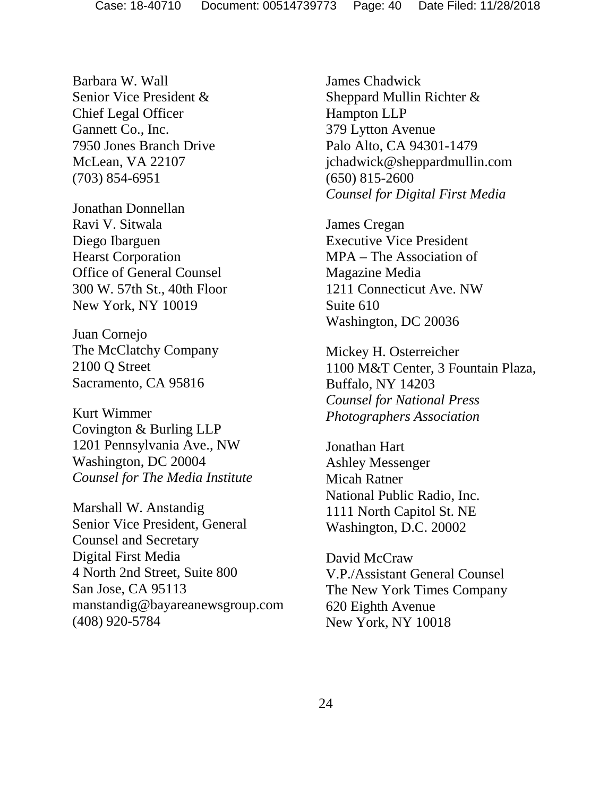Barbara W. Wall Senior Vice President & Chief Legal Officer Gannett Co., Inc. 7950 Jones Branch Drive McLean, VA 22107 (703) 854-6951

Jonathan Donnellan Ravi V. Sitwala Diego Ibarguen Hearst Corporation Office of General Counsel 300 W. 57th St., 40th Floor New York, NY 10019

Juan Cornejo The McClatchy Company 2100 Q Street Sacramento, CA 95816

Kurt Wimmer Covington & Burling LLP 1201 Pennsylvania Ave., NW Washington, DC 20004 *Counsel for The Media Institute*

Marshall W. Anstandig Senior Vice President, General Counsel and Secretary Digital First Media 4 North 2nd Street, Suite 800 San Jose, CA 95113 manstandig@bayareanewsgroup.com (408) 920-5784

James Chadwick Sheppard Mullin Richter & Hampton LLP 379 Lytton Avenue Palo Alto, CA 94301-1479 jchadwick@sheppardmullin.com (650) 815-2600 *Counsel for Digital First Media*

James Cregan Executive Vice President MPA – The Association of Magazine Media 1211 Connecticut Ave. NW Suite 610 Washington, DC 20036

Mickey H. Osterreicher 1100 M&T Center, 3 Fountain Plaza, Buffalo, NY 14203 *Counsel for National Press Photographers Association*

Jonathan Hart Ashley Messenger Micah Ratner National Public Radio, Inc. 1111 North Capitol St. NE Washington, D.C. 20002

David McCraw V.P./Assistant General Counsel The New York Times Company 620 Eighth Avenue New York, NY 10018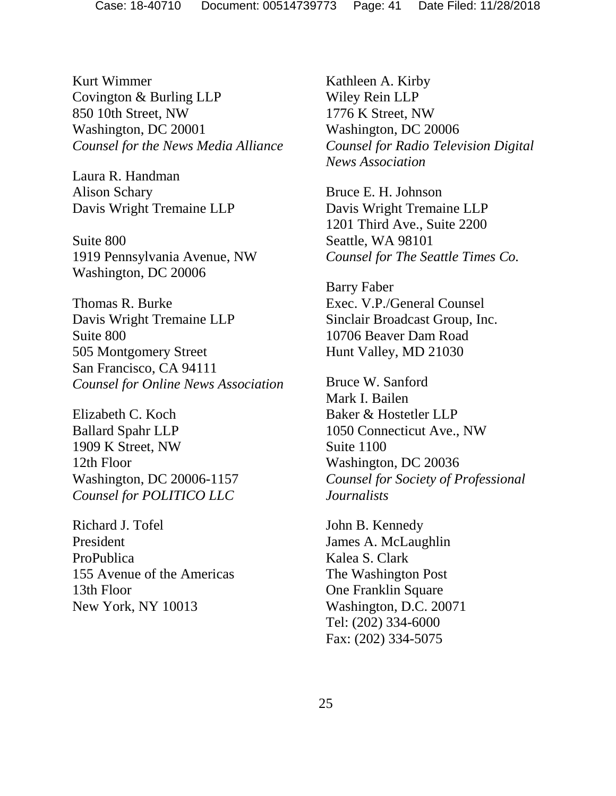Kurt Wimmer Covington & Burling LLP 850 10th Street, NW Washington, DC 20001 *Counsel for the News Media Alliance*

Laura R. Handman Alison Schary Davis Wright Tremaine LLP

Suite 800 1919 Pennsylvania Avenue, NW Washington, DC 20006

Thomas R. Burke Davis Wright Tremaine LLP Suite 800 505 Montgomery Street San Francisco, CA 94111 *Counsel for Online News Association*

Elizabeth C. Koch Ballard Spahr LLP 1909 K Street, NW 12th Floor Washington, DC 20006-1157 *Counsel for POLITICO LLC*

Richard J. Tofel President ProPublica 155 Avenue of the Americas 13th Floor New York, NY 10013

Kathleen A. Kirby Wiley Rein LLP 1776 K Street, NW Washington, DC 20006 *Counsel for Radio Television Digital News Association*

Bruce E. H. Johnson Davis Wright Tremaine LLP 1201 Third Ave., Suite 2200 Seattle, WA 98101 *Counsel for The Seattle Times Co.*

Barry Faber Exec. V.P./General Counsel Sinclair Broadcast Group, Inc. 10706 Beaver Dam Road Hunt Valley, MD 21030

Bruce W. Sanford Mark I. Bailen Baker & Hostetler LLP 1050 Connecticut Ave., NW Suite 1100 Washington, DC 20036 *Counsel for Society of Professional Journalists*

John B. Kennedy James A. McLaughlin Kalea S. Clark The Washington Post One Franklin Square Washington, D.C. 20071 Tel: (202) 334-6000 Fax: (202) 334-5075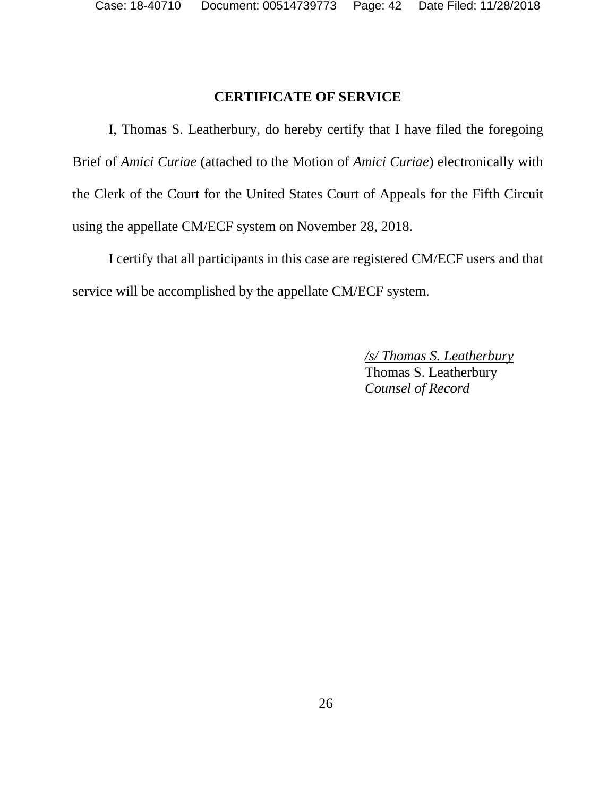# **CERTIFICATE OF SERVICE**

I, Thomas S. Leatherbury, do hereby certify that I have filed the foregoing Brief of *Amici Curiae* (attached to the Motion of *Amici Curiae*) electronically with the Clerk of the Court for the United States Court of Appeals for the Fifth Circuit using the appellate CM/ECF system on November 28, 2018.

I certify that all participants in this case are registered CM/ECF users and that service will be accomplished by the appellate CM/ECF system.

> */s/ Thomas S. Leatherbury*  Thomas S. Leatherbury *Counsel of Record*